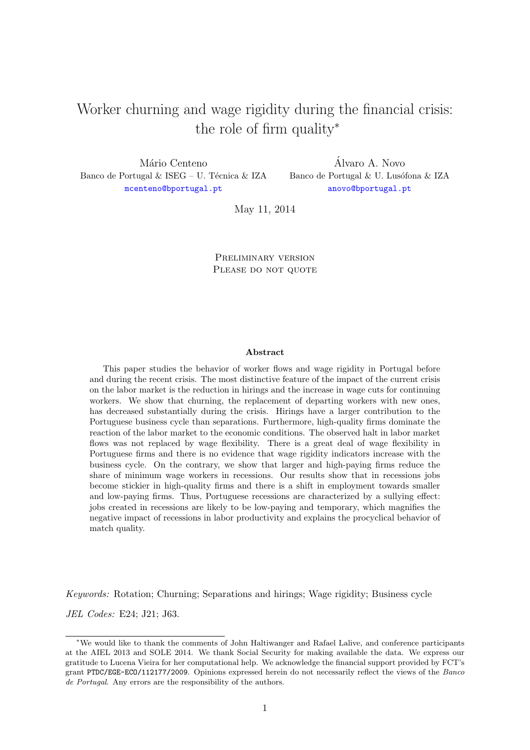# Worker churning and wage rigidity during the financial crisis: the role of firm quality<sup>∗</sup>

Mário Centeno Banco de Portugal  $\&$  ISEG – U. Técnica  $\&$  IZA [mcenteno@bportugal.pt](mailto:mcenteno@bportugal.pt)

Alvaro A. Novo ´ Banco de Portugal  $\&$  U. Lusófona  $\&$  IZA [anovo@bportugal.pt](mailto:anovo@bportugal.pt)

May 11, 2014

Preliminary version PLEASE DO NOT QUOTE

#### Abstract

This paper studies the behavior of worker flows and wage rigidity in Portugal before and during the recent crisis. The most distinctive feature of the impact of the current crisis on the labor market is the reduction in hirings and the increase in wage cuts for continuing workers. We show that churning, the replacement of departing workers with new ones, has decreased substantially during the crisis. Hirings have a larger contribution to the Portuguese business cycle than separations. Furthermore, high-quality firms dominate the reaction of the labor market to the economic conditions. The observed halt in labor market flows was not replaced by wage flexibility. There is a great deal of wage flexibility in Portuguese firms and there is no evidence that wage rigidity indicators increase with the business cycle. On the contrary, we show that larger and high-paying firms reduce the share of minimum wage workers in recessions. Our results show that in recessions jobs become stickier in high-quality firms and there is a shift in employment towards smaller and low-paying firms. Thus, Portuguese recessions are characterized by a sullying effect: jobs created in recessions are likely to be low-paying and temporary, which magnifies the negative impact of recessions in labor productivity and explains the procyclical behavior of match quality.

Keywords: Rotation; Churning; Separations and hirings; Wage rigidity; Business cycle JEL Codes: E24; J21; J63.

<sup>∗</sup>We would like to thank the comments of John Haltiwanger and Rafael Lalive, and conference participants at the AIEL 2013 and SOLE 2014. We thank Social Security for making available the data. We express our gratitude to Lucena Vieira for her computational help. We acknowledge the financial support provided by FCT's grant PTDC/EGE-ECO/112177/2009. Opinions expressed herein do not necessarily reflect the views of the Banco de Portugal. Any errors are the responsibility of the authors.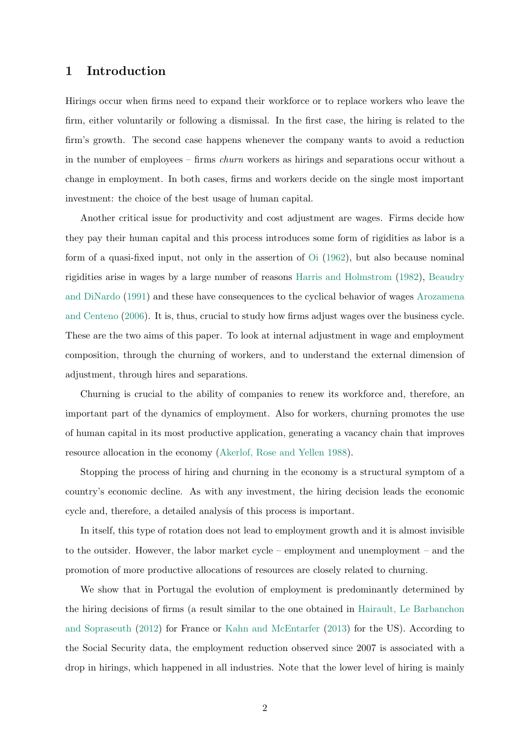### 1 Introduction

Hirings occur when firms need to expand their workforce or to replace workers who leave the firm, either voluntarily or following a dismissal. In the first case, the hiring is related to the firm's growth. The second case happens whenever the company wants to avoid a reduction in the number of employees – firms churn workers as hirings and separations occur without a change in employment. In both cases, firms and workers decide on the single most important investment: the choice of the best usage of human capital.

Another critical issue for productivity and cost adjustment are wages. Firms decide how they pay their human capital and this process introduces some form of rigidities as labor is a form of a quasi-fixed input, not only in the assertion of [Oi](#page-18-0) [\(1962\)](#page-18-0), but also because nominal rigidities arise in wages by a large number of reasons [Harris and Holmstrom](#page-17-0) [\(1982\)](#page-17-0), [Beaudry](#page-16-0) [and DiNardo](#page-16-0) [\(1991\)](#page-16-0) and these have consequences to the cyclical behavior of wages [Arozamena](#page-16-1) [and Centeno](#page-16-1) [\(2006\)](#page-16-1). It is, thus, crucial to study how firms adjust wages over the business cycle. These are the two aims of this paper. To look at internal adjustment in wage and employment composition, through the churning of workers, and to understand the external dimension of adjustment, through hires and separations.

Churning is crucial to the ability of companies to renew its workforce and, therefore, an important part of the dynamics of employment. Also for workers, churning promotes the use of human capital in its most productive application, generating a vacancy chain that improves resource allocation in the economy [\(Akerlof, Rose and Yellen](#page-16-2) [1988\)](#page-16-2).

Stopping the process of hiring and churning in the economy is a structural symptom of a country's economic decline. As with any investment, the hiring decision leads the economic cycle and, therefore, a detailed analysis of this process is important.

In itself, this type of rotation does not lead to employment growth and it is almost invisible to the outsider. However, the labor market cycle – employment and unemployment – and the promotion of more productive allocations of resources are closely related to churning.

We show that in Portugal the evolution of employment is predominantly determined by the hiring decisions of firms (a result similar to the one obtained in [Hairault, Le Barbanchon](#page-17-1) [and Sopraseuth](#page-17-1) [\(2012\)](#page-17-1) for France or [Kahn and McEntarfer](#page-17-2) [\(2013\)](#page-17-2) for the US). According to the Social Security data, the employment reduction observed since 2007 is associated with a drop in hirings, which happened in all industries. Note that the lower level of hiring is mainly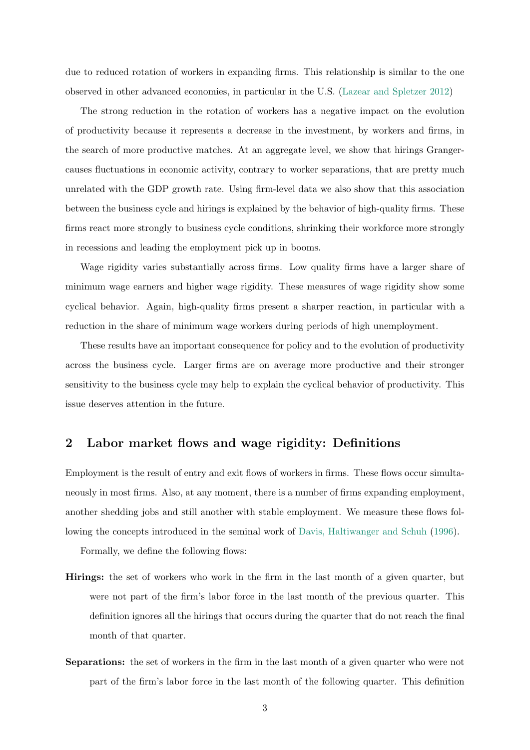due to reduced rotation of workers in expanding firms. This relationship is similar to the one observed in other advanced economies, in particular in the U.S. [\(Lazear and Spletzer](#page-18-1) [2012\)](#page-18-1)

The strong reduction in the rotation of workers has a negative impact on the evolution of productivity because it represents a decrease in the investment, by workers and firms, in the search of more productive matches. At an aggregate level, we show that hirings Grangercauses fluctuations in economic activity, contrary to worker separations, that are pretty much unrelated with the GDP growth rate. Using firm-level data we also show that this association between the business cycle and hirings is explained by the behavior of high-quality firms. These firms react more strongly to business cycle conditions, shrinking their workforce more strongly in recessions and leading the employment pick up in booms.

Wage rigidity varies substantially across firms. Low quality firms have a larger share of minimum wage earners and higher wage rigidity. These measures of wage rigidity show some cyclical behavior. Again, high-quality firms present a sharper reaction, in particular with a reduction in the share of minimum wage workers during periods of high unemployment.

These results have an important consequence for policy and to the evolution of productivity across the business cycle. Larger firms are on average more productive and their stronger sensitivity to the business cycle may help to explain the cyclical behavior of productivity. This issue deserves attention in the future.

# 2 Labor market flows and wage rigidity: Definitions

Employment is the result of entry and exit flows of workers in firms. These flows occur simultaneously in most firms. Also, at any moment, there is a number of firms expanding employment, another shedding jobs and still another with stable employment. We measure these flows following the concepts introduced in the seminal work of [Davis, Haltiwanger and Schuh](#page-17-3) [\(1996\)](#page-17-3).

Formally, we define the following flows:

- Hirings: the set of workers who work in the firm in the last month of a given quarter, but were not part of the firm's labor force in the last month of the previous quarter. This definition ignores all the hirings that occurs during the quarter that do not reach the final month of that quarter.
- Separations: the set of workers in the firm in the last month of a given quarter who were not part of the firm's labor force in the last month of the following quarter. This definition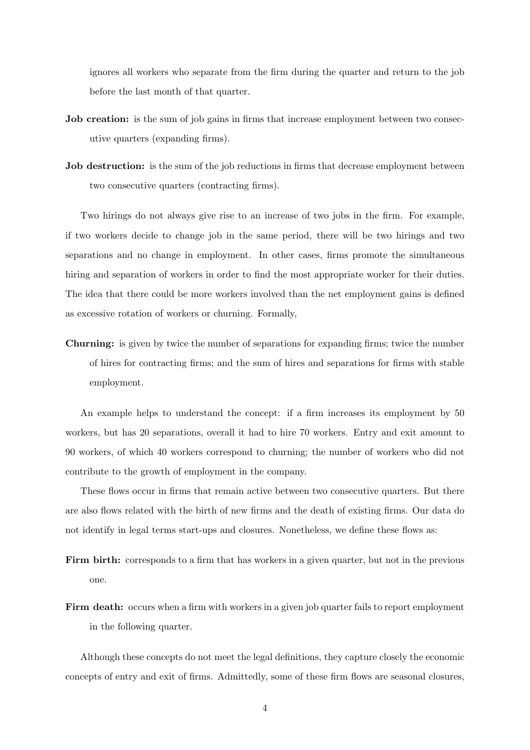ignores all workers who separate from the firm during the quarter and return to the job before the last month of that quarter.

- **Job creation:** is the sum of job gains in firms that increase employment between two consecutive quarters (expanding firms).
- **Job destruction:** is the sum of the job reductions in firms that decrease employment between two consecutive quarters (contracting firms).

Two hirings do not always give rise to an increase of two jobs in the firm. For example, if two workers decide to change job in the same period, there will be two hirings and two separations and no change in employment. In other cases, firms promote the simultaneous hiring and separation of workers in order to find the most appropriate worker for their duties. The idea that there could be more workers involved than the net employment gains is defined as excessive rotation of workers or churning. Formally,

Churning: is given by twice the number of separations for expanding firms; twice the number of hires for contracting firms; and the sum of hires and separations for firms with stable employment.

An example helps to understand the concept: if a firm increases its employment by 50 workers, but has 20 separations, overall it had to hire 70 workers. Entry and exit amount to 90 workers, of which 40 workers correspond to churning; the number of workers who did not contribute to the growth of employment in the company.

These flows occur in firms that remain active between two consecutive quarters. But there are also flows related with the birth of new firms and the death of existing firms. Our data do not identify in legal terms start-ups and closures. Nonetheless, we define these flows as:

- Firm birth: corresponds to a firm that has workers in a given quarter, but not in the previous one.
- Firm death: occurs when a firm with workers in a given job quarter fails to report employment in the following quarter.

Although these concepts do not meet the legal definitions, they capture closely the economic concepts of entry and exit of firms. Admittedly, some of these firm flows are seasonal closures,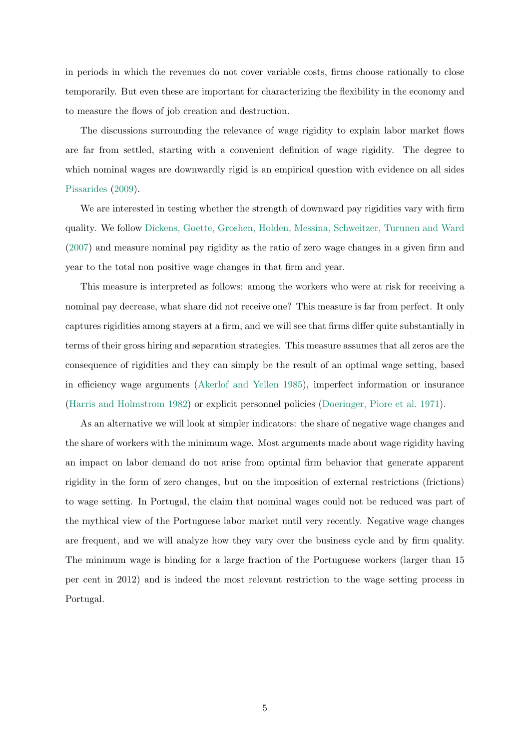in periods in which the revenues do not cover variable costs, firms choose rationally to close temporarily. But even these are important for characterizing the flexibility in the economy and to measure the flows of job creation and destruction.

The discussions surrounding the relevance of wage rigidity to explain labor market flows are far from settled, starting with a convenient definition of wage rigidity. The degree to which nominal wages are downwardly rigid is an empirical question with evidence on all sides [Pissarides](#page-18-2) [\(2009\)](#page-18-2).

We are interested in testing whether the strength of downward pay rigidities vary with firm quality. We follow [Dickens, Goette, Groshen, Holden, Messina, Schweitzer, Turunen and Ward](#page-17-4) [\(2007\)](#page-17-4) and measure nominal pay rigidity as the ratio of zero wage changes in a given firm and year to the total non positive wage changes in that firm and year.

This measure is interpreted as follows: among the workers who were at risk for receiving a nominal pay decrease, what share did not receive one? This measure is far from perfect. It only captures rigidities among stayers at a firm, and we will see that firms differ quite substantially in terms of their gross hiring and separation strategies. This measure assumes that all zeros are the consequence of rigidities and they can simply be the result of an optimal wage setting, based in efficiency wage arguments [\(Akerlof and Yellen](#page-16-3) [1985\)](#page-16-3), imperfect information or insurance [\(Harris and Holmstrom](#page-17-0) [1982\)](#page-17-0) or explicit personnel policies [\(Doeringer, Piore et al.](#page-17-5) [1971\)](#page-17-5).

As an alternative we will look at simpler indicators: the share of negative wage changes and the share of workers with the minimum wage. Most arguments made about wage rigidity having an impact on labor demand do not arise from optimal firm behavior that generate apparent rigidity in the form of zero changes, but on the imposition of external restrictions (frictions) to wage setting. In Portugal, the claim that nominal wages could not be reduced was part of the mythical view of the Portuguese labor market until very recently. Negative wage changes are frequent, and we will analyze how they vary over the business cycle and by firm quality. The minimum wage is binding for a large fraction of the Portuguese workers (larger than 15 per cent in 2012) and is indeed the most relevant restriction to the wage setting process in Portugal.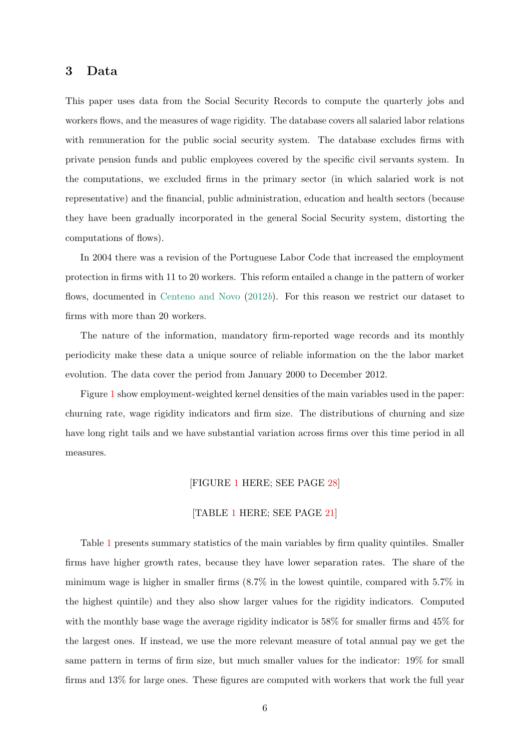# 3 Data

This paper uses data from the Social Security Records to compute the quarterly jobs and workers flows, and the measures of wage rigidity. The database covers all salaried labor relations with remuneration for the public social security system. The database excludes firms with private pension funds and public employees covered by the specific civil servants system. In the computations, we excluded firms in the primary sector (in which salaried work is not representative) and the financial, public administration, education and health sectors (because they have been gradually incorporated in the general Social Security system, distorting the computations of flows).

In 2004 there was a revision of the Portuguese Labor Code that increased the employment protection in firms with 11 to 20 workers. This reform entailed a change in the pattern of worker flows, documented in [Centeno and Novo](#page-17-6)  $(2012b)$  $(2012b)$ . For this reason we restrict our dataset to firms with more than 20 workers.

The nature of the information, mandatory firm-reported wage records and its monthly periodicity make these data a unique source of reliable information on the the labor market evolution. The data cover the period from January 2000 to December 2012.

Figure [1](#page-27-0) show employment-weighted kernel densities of the main variables used in the paper: churning rate, wage rigidity indicators and firm size. The distributions of churning and size have long right tails and we have substantial variation across firms over this time period in all measures.

#### [FIGURE [1](#page-27-0) HERE; SEE PAGE [28\]](#page-27-0)

#### [TABLE [1](#page-20-0) HERE; SEE PAGE [21\]](#page-20-0)

Table [1](#page-20-0) presents summary statistics of the main variables by firm quality quintiles. Smaller firms have higher growth rates, because they have lower separation rates. The share of the minimum wage is higher in smaller firms (8.7% in the lowest quintile, compared with 5.7% in the highest quintile) and they also show larger values for the rigidity indicators. Computed with the monthly base wage the average rigidity indicator is 58% for smaller firms and 45% for the largest ones. If instead, we use the more relevant measure of total annual pay we get the same pattern in terms of firm size, but much smaller values for the indicator: 19% for small firms and 13% for large ones. These figures are computed with workers that work the full year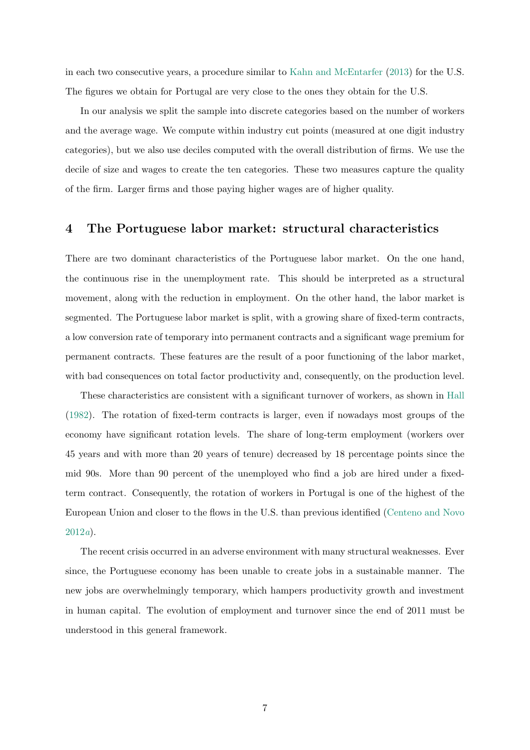in each two consecutive years, a procedure similar to [Kahn and McEntarfer](#page-17-2) [\(2013\)](#page-17-2) for the U.S. The figures we obtain for Portugal are very close to the ones they obtain for the U.S.

In our analysis we split the sample into discrete categories based on the number of workers and the average wage. We compute within industry cut points (measured at one digit industry categories), but we also use deciles computed with the overall distribution of firms. We use the decile of size and wages to create the ten categories. These two measures capture the quality of the firm. Larger firms and those paying higher wages are of higher quality.

## 4 The Portuguese labor market: structural characteristics

There are two dominant characteristics of the Portuguese labor market. On the one hand, the continuous rise in the unemployment rate. This should be interpreted as a structural movement, along with the reduction in employment. On the other hand, the labor market is segmented. The Portuguese labor market is split, with a growing share of fixed-term contracts, a low conversion rate of temporary into permanent contracts and a significant wage premium for permanent contracts. These features are the result of a poor functioning of the labor market, with bad consequences on total factor productivity and, consequently, on the production level.

These characteristics are consistent with a significant turnover of workers, as shown in [Hall](#page-17-7) [\(1982\)](#page-17-7). The rotation of fixed-term contracts is larger, even if nowadays most groups of the economy have significant rotation levels. The share of long-term employment (workers over 45 years and with more than 20 years of tenure) decreased by 18 percentage points since the mid 90s. More than 90 percent of the unemployed who find a job are hired under a fixedterm contract. Consequently, the rotation of workers in Portugal is one of the highest of the European Union and closer to the flows in the U.S. than previous identified [\(Centeno and Novo](#page-17-8) [2012](#page-17-8)a).

The recent crisis occurred in an adverse environment with many structural weaknesses. Ever since, the Portuguese economy has been unable to create jobs in a sustainable manner. The new jobs are overwhelmingly temporary, which hampers productivity growth and investment in human capital. The evolution of employment and turnover since the end of 2011 must be understood in this general framework.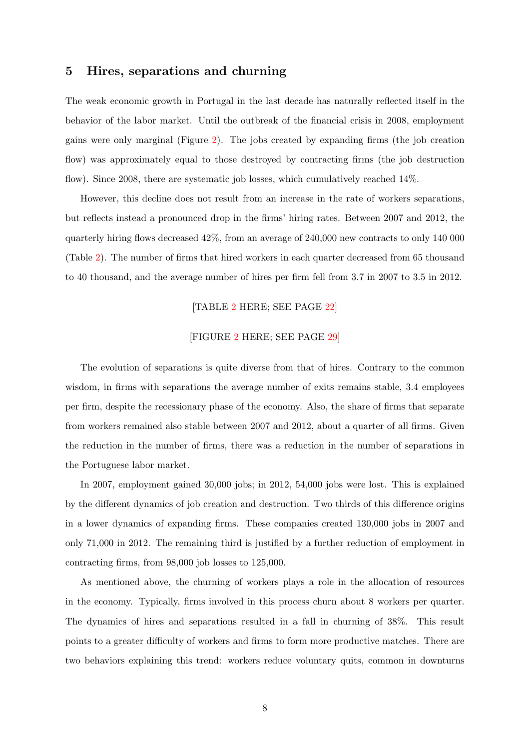## 5 Hires, separations and churning

The weak economic growth in Portugal in the last decade has naturally reflected itself in the behavior of the labor market. Until the outbreak of the financial crisis in 2008, employment gains were only marginal (Figure [2\)](#page-28-0). The jobs created by expanding firms (the job creation flow) was approximately equal to those destroyed by contracting firms (the job destruction flow). Since 2008, there are systematic job losses, which cumulatively reached 14%.

However, this decline does not result from an increase in the rate of workers separations, but reflects instead a pronounced drop in the firms' hiring rates. Between 2007 and 2012, the quarterly hiring flows decreased 42%, from an average of 240,000 new contracts to only 140 000 (Table [2\)](#page-21-0). The number of firms that hired workers in each quarter decreased from 65 thousand to 40 thousand, and the average number of hires per firm fell from 3.7 in 2007 to 3.5 in 2012.

#### [TABLE [2](#page-21-0) HERE; SEE PAGE [22\]](#page-21-0)

#### [FIGURE [2](#page-28-0) HERE; SEE PAGE [29\]](#page-28-0)

The evolution of separations is quite diverse from that of hires. Contrary to the common wisdom, in firms with separations the average number of exits remains stable, 3.4 employees per firm, despite the recessionary phase of the economy. Also, the share of firms that separate from workers remained also stable between 2007 and 2012, about a quarter of all firms. Given the reduction in the number of firms, there was a reduction in the number of separations in the Portuguese labor market.

In 2007, employment gained 30,000 jobs; in 2012, 54,000 jobs were lost. This is explained by the different dynamics of job creation and destruction. Two thirds of this difference origins in a lower dynamics of expanding firms. These companies created 130,000 jobs in 2007 and only 71,000 in 2012. The remaining third is justified by a further reduction of employment in contracting firms, from 98,000 job losses to 125,000.

As mentioned above, the churning of workers plays a role in the allocation of resources in the economy. Typically, firms involved in this process churn about 8 workers per quarter. The dynamics of hires and separations resulted in a fall in churning of 38%. This result points to a greater difficulty of workers and firms to form more productive matches. There are two behaviors explaining this trend: workers reduce voluntary quits, common in downturns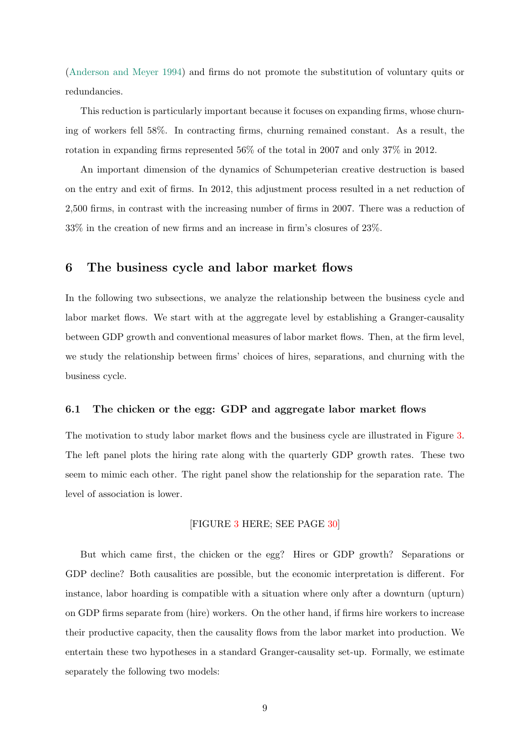[\(Anderson and Meyer](#page-16-4) [1994\)](#page-16-4) and firms do not promote the substitution of voluntary quits or redundancies.

This reduction is particularly important because it focuses on expanding firms, whose churning of workers fell 58%. In contracting firms, churning remained constant. As a result, the rotation in expanding firms represented 56% of the total in 2007 and only 37% in 2012.

An important dimension of the dynamics of Schumpeterian creative destruction is based on the entry and exit of firms. In 2012, this adjustment process resulted in a net reduction of 2,500 firms, in contrast with the increasing number of firms in 2007. There was a reduction of 33% in the creation of new firms and an increase in firm's closures of 23%.

## 6 The business cycle and labor market flows

In the following two subsections, we analyze the relationship between the business cycle and labor market flows. We start with at the aggregate level by establishing a Granger-causality between GDP growth and conventional measures of labor market flows. Then, at the firm level, we study the relationship between firms' choices of hires, separations, and churning with the business cycle.

#### 6.1 The chicken or the egg: GDP and aggregate labor market flows

The motivation to study labor market flows and the business cycle are illustrated in Figure [3.](#page-29-0) The left panel plots the hiring rate along with the quarterly GDP growth rates. These two seem to mimic each other. The right panel show the relationship for the separation rate. The level of association is lower.

#### [FIGURE [3](#page-29-0) HERE; SEE PAGE [30\]](#page-29-0)

But which came first, the chicken or the egg? Hires or GDP growth? Separations or GDP decline? Both causalities are possible, but the economic interpretation is different. For instance, labor hoarding is compatible with a situation where only after a downturn (upturn) on GDP firms separate from (hire) workers. On the other hand, if firms hire workers to increase their productive capacity, then the causality flows from the labor market into production. We entertain these two hypotheses in a standard Granger-causality set-up. Formally, we estimate separately the following two models: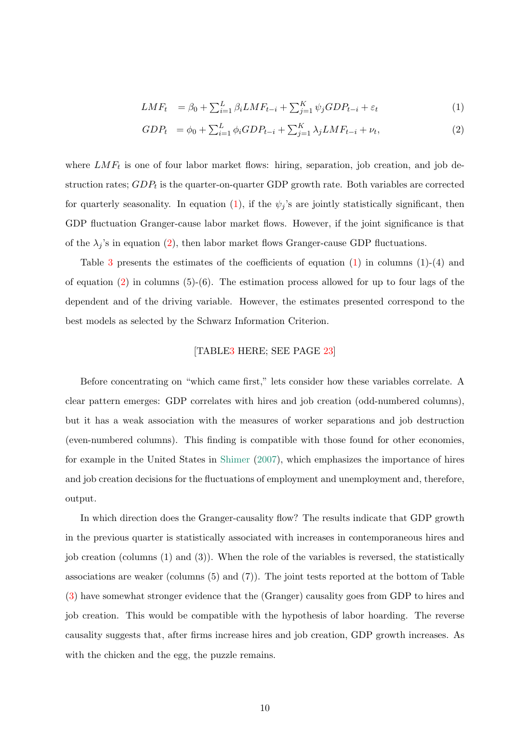<span id="page-9-0"></span>
$$
LMF_t = \beta_0 + \sum_{i=1}^{L} \beta_i LMF_{t-i} + \sum_{j=1}^{K} \psi_j GDP_{t-i} + \varepsilon_t \tag{1}
$$

$$
GDP_t = \phi_0 + \sum_{i=1}^{L} \phi_i GDP_{t-i} + \sum_{j=1}^{K} \lambda_j LMF_{t-i} + \nu_t,
$$
\n(2)

where  $LMF_t$  is one of four labor market flows: hiring, separation, job creation, and job destruction rates;  $GDP_t$  is the quarter-on-quarter GDP growth rate. Both variables are corrected for quarterly seasonality. In equation [\(1\)](#page-9-0), if the  $\psi_j$ 's are jointly statistically significant, then GDP fluctuation Granger-cause labor market flows. However, if the joint significance is that of the  $\lambda_j$ 's in equation [\(2\)](#page-9-0), then labor market flows Granger-cause GDP fluctuations.

Table [3](#page-22-0) presents the estimates of the coefficients of equation  $(1)$  in columns  $(1)-(4)$  and of equation  $(2)$  in columns  $(5)-(6)$ . The estimation process allowed for up to four lags of the dependent and of the driving variable. However, the estimates presented correspond to the best models as selected by the Schwarz Information Criterion.

#### [TABL[E3](#page-22-0) HERE; SEE PAGE [23\]](#page-22-0)

Before concentrating on "which came first," lets consider how these variables correlate. A clear pattern emerges: GDP correlates with hires and job creation (odd-numbered columns), but it has a weak association with the measures of worker separations and job destruction (even-numbered columns). This finding is compatible with those found for other economies, for example in the United States in [Shimer](#page-18-3) [\(2007\)](#page-18-3), which emphasizes the importance of hires and job creation decisions for the fluctuations of employment and unemployment and, therefore, output.

In which direction does the Granger-causality flow? The results indicate that GDP growth in the previous quarter is statistically associated with increases in contemporaneous hires and job creation (columns (1) and (3)). When the role of the variables is reversed, the statistically associations are weaker (columns (5) and (7)). The joint tests reported at the bottom of Table [\(3\)](#page-22-0) have somewhat stronger evidence that the (Granger) causality goes from GDP to hires and job creation. This would be compatible with the hypothesis of labor hoarding. The reverse causality suggests that, after firms increase hires and job creation, GDP growth increases. As with the chicken and the egg, the puzzle remains.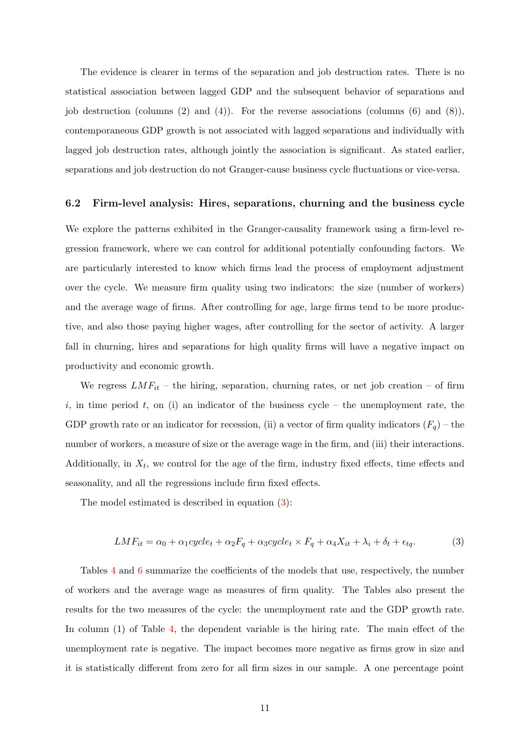The evidence is clearer in terms of the separation and job destruction rates. There is no statistical association between lagged GDP and the subsequent behavior of separations and job destruction (columns (2) and (4)). For the reverse associations (columns (6) and (8)), contemporaneous GDP growth is not associated with lagged separations and individually with lagged job destruction rates, although jointly the association is significant. As stated earlier, separations and job destruction do not Granger-cause business cycle fluctuations or vice-versa.

#### 6.2 Firm-level analysis: Hires, separations, churning and the business cycle

We explore the patterns exhibited in the Granger-causality framework using a firm-level regression framework, where we can control for additional potentially confounding factors. We are particularly interested to know which firms lead the process of employment adjustment over the cycle. We measure firm quality using two indicators: the size (number of workers) and the average wage of firms. After controlling for age, large firms tend to be more productive, and also those paying higher wages, after controlling for the sector of activity. A larger fall in churning, hires and separations for high quality firms will have a negative impact on productivity and economic growth.

We regress  $LMF_{it}$  – the hiring, separation, churning rates, or net job creation – of firm i, in time period t, on (i) an indicator of the business cycle – the unemployment rate, the GDP growth rate or an indicator for recession, (ii) a vector of firm quality indicators  $(F_q)$  – the number of workers, a measure of size or the average wage in the firm, and (iii) their interactions. Additionally, in  $X_t$ , we control for the age of the firm, industry fixed effects, time effects and seasonality, and all the regressions include firm fixed effects.

The model estimated is described in equation [\(3\)](#page-10-0):

<span id="page-10-0"></span>
$$
LMF_{it} = \alpha_0 + \alpha_1 cycle_t + \alpha_2 F_q + \alpha_3 cycle_t \times F_q + \alpha_4 X_{it} + \lambda_i + \delta_t + \epsilon_{tq}.
$$
 (3)

Tables [4](#page-23-0) and [6](#page-25-0) summarize the coefficients of the models that use, respectively, the number of workers and the average wage as measures of firm quality. The Tables also present the results for the two measures of the cycle: the unemployment rate and the GDP growth rate. In column (1) of Table [4,](#page-23-0) the dependent variable is the hiring rate. The main effect of the unemployment rate is negative. The impact becomes more negative as firms grow in size and it is statistically different from zero for all firm sizes in our sample. A one percentage point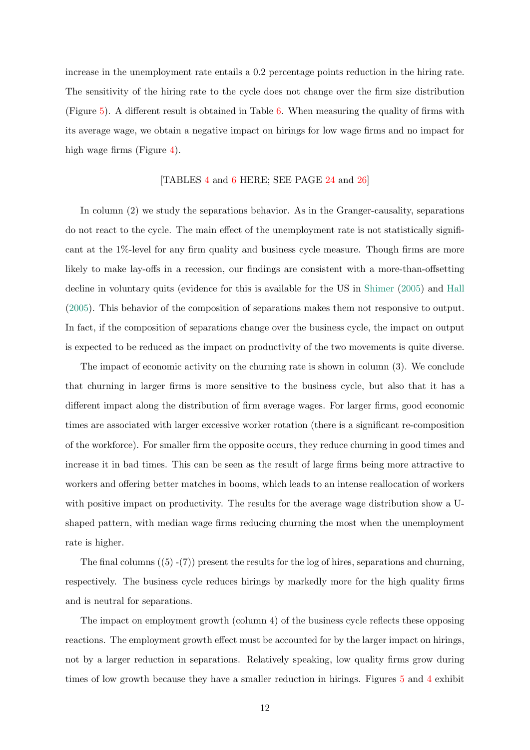increase in the unemployment rate entails a 0.2 percentage points reduction in the hiring rate. The sensitivity of the hiring rate to the cycle does not change over the firm size distribution (Figure [5\)](#page-31-0). A different result is obtained in Table [6.](#page-25-0) When measuring the quality of firms with its average wage, we obtain a negative impact on hirings for low wage firms and no impact for high wage firms (Figure [4\)](#page-30-0).

#### [TABLES [4](#page-23-0) and [6](#page-25-0) HERE; SEE PAGE [24](#page-23-0) and [26\]](#page-25-0)

In column (2) we study the separations behavior. As in the Granger-causality, separations do not react to the cycle. The main effect of the unemployment rate is not statistically significant at the 1%-level for any firm quality and business cycle measure. Though firms are more likely to make lay-offs in a recession, our findings are consistent with a more-than-offsetting decline in voluntary quits (evidence for this is available for the US in [Shimer](#page-18-4) [\(2005\)](#page-18-4) and [Hall](#page-17-9) [\(2005\)](#page-17-9). This behavior of the composition of separations makes them not responsive to output. In fact, if the composition of separations change over the business cycle, the impact on output is expected to be reduced as the impact on productivity of the two movements is quite diverse.

The impact of economic activity on the churning rate is shown in column (3). We conclude that churning in larger firms is more sensitive to the business cycle, but also that it has a different impact along the distribution of firm average wages. For larger firms, good economic times are associated with larger excessive worker rotation (there is a significant re-composition of the workforce). For smaller firm the opposite occurs, they reduce churning in good times and increase it in bad times. This can be seen as the result of large firms being more attractive to workers and offering better matches in booms, which leads to an intense reallocation of workers with positive impact on productivity. The results for the average wage distribution show a Ushaped pattern, with median wage firms reducing churning the most when the unemployment rate is higher.

The final columns  $(5)$  -(7)) present the results for the log of hires, separations and churning, respectively. The business cycle reduces hirings by markedly more for the high quality firms and is neutral for separations.

The impact on employment growth (column 4) of the business cycle reflects these opposing reactions. The employment growth effect must be accounted for by the larger impact on hirings, not by a larger reduction in separations. Relatively speaking, low quality firms grow during times of low growth because they have a smaller reduction in hirings. Figures [5](#page-31-0) and [4](#page-30-0) exhibit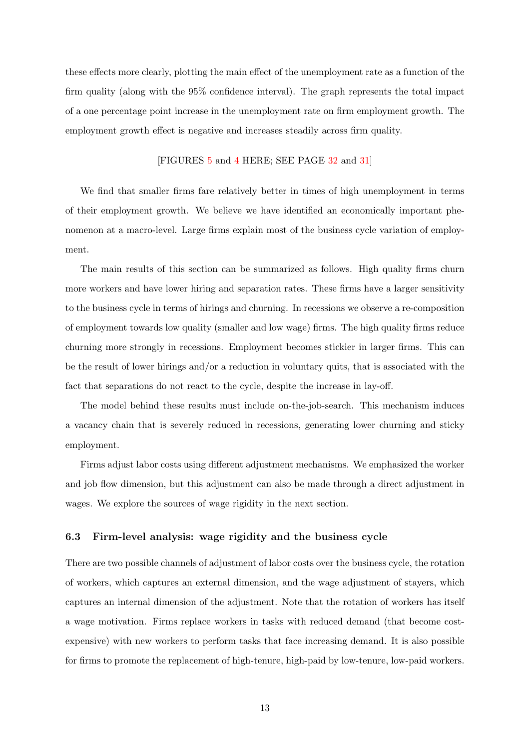these effects more clearly, plotting the main effect of the unemployment rate as a function of the firm quality (along with the 95% confidence interval). The graph represents the total impact of a one percentage point increase in the unemployment rate on firm employment growth. The employment growth effect is negative and increases steadily across firm quality.

### [FIGURES [5](#page-31-0) and [4](#page-30-0) HERE; SEE PAGE [32](#page-31-0) and [31\]](#page-30-0)

We find that smaller firms fare relatively better in times of high unemployment in terms of their employment growth. We believe we have identified an economically important phenomenon at a macro-level. Large firms explain most of the business cycle variation of employment.

The main results of this section can be summarized as follows. High quality firms churn more workers and have lower hiring and separation rates. These firms have a larger sensitivity to the business cycle in terms of hirings and churning. In recessions we observe a re-composition of employment towards low quality (smaller and low wage) firms. The high quality firms reduce churning more strongly in recessions. Employment becomes stickier in larger firms. This can be the result of lower hirings and/or a reduction in voluntary quits, that is associated with the fact that separations do not react to the cycle, despite the increase in lay-off.

The model behind these results must include on-the-job-search. This mechanism induces a vacancy chain that is severely reduced in recessions, generating lower churning and sticky employment.

Firms adjust labor costs using different adjustment mechanisms. We emphasized the worker and job flow dimension, but this adjustment can also be made through a direct adjustment in wages. We explore the sources of wage rigidity in the next section.

#### 6.3 Firm-level analysis: wage rigidity and the business cycle

There are two possible channels of adjustment of labor costs over the business cycle, the rotation of workers, which captures an external dimension, and the wage adjustment of stayers, which captures an internal dimension of the adjustment. Note that the rotation of workers has itself a wage motivation. Firms replace workers in tasks with reduced demand (that become costexpensive) with new workers to perform tasks that face increasing demand. It is also possible for firms to promote the replacement of high-tenure, high-paid by low-tenure, low-paid workers.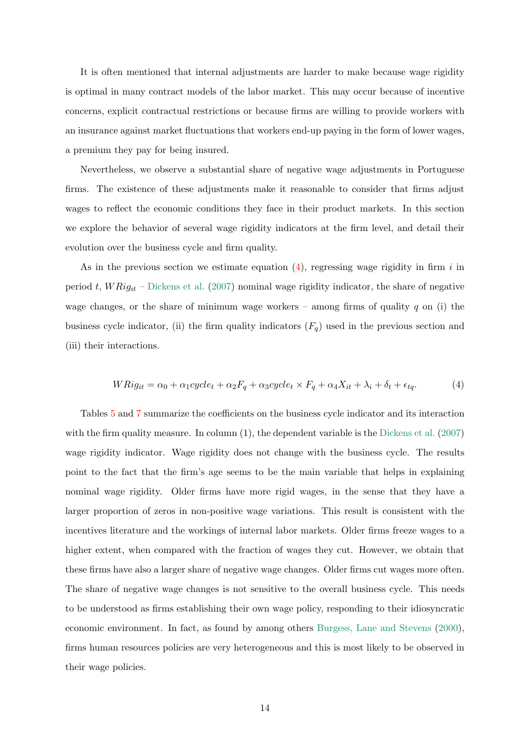It is often mentioned that internal adjustments are harder to make because wage rigidity is optimal in many contract models of the labor market. This may occur because of incentive concerns, explicit contractual restrictions or because firms are willing to provide workers with an insurance against market fluctuations that workers end-up paying in the form of lower wages, a premium they pay for being insured.

Nevertheless, we observe a substantial share of negative wage adjustments in Portuguese firms. The existence of these adjustments make it reasonable to consider that firms adjust wages to reflect the economic conditions they face in their product markets. In this section we explore the behavior of several wage rigidity indicators at the firm level, and detail their evolution over the business cycle and firm quality.

As in the previous section we estimate equation  $(4)$ , regressing wage rigidity in firm i in period t,  $WRig_{it}$  – [Dickens et al.](#page-17-4) [\(2007\)](#page-17-4) nominal wage rigidity indicator, the share of negative wage changes, or the share of minimum wage workers – among firms of quality  $q$  on (i) the business cycle indicator, (ii) the firm quality indicators  $(F_q)$  used in the previous section and (iii) their interactions.

<span id="page-13-0"></span>
$$
WRig_{it} = \alpha_0 + \alpha_1 cycle_t + \alpha_2 F_q + \alpha_3 cycle_t \times F_q + \alpha_4 X_{it} + \lambda_i + \delta_t + \epsilon_{tq}.
$$
 (4)

Tables [5](#page-24-0) and [7](#page-26-0) summarize the coefficients on the business cycle indicator and its interaction with the firm quality measure. In column (1), the dependent variable is the [Dickens et al.](#page-17-4) [\(2007\)](#page-17-4) wage rigidity indicator. Wage rigidity does not change with the business cycle. The results point to the fact that the firm's age seems to be the main variable that helps in explaining nominal wage rigidity. Older firms have more rigid wages, in the sense that they have a larger proportion of zeros in non-positive wage variations. This result is consistent with the incentives literature and the workings of internal labor markets. Older firms freeze wages to a higher extent, when compared with the fraction of wages they cut. However, we obtain that these firms have also a larger share of negative wage changes. Older firms cut wages more often. The share of negative wage changes is not sensitive to the overall business cycle. This needs to be understood as firms establishing their own wage policy, responding to their idiosyncratic economic environment. In fact, as found by among others [Burgess, Lane and Stevens](#page-17-10) [\(2000\)](#page-17-10), firms human resources policies are very heterogeneous and this is most likely to be observed in their wage policies.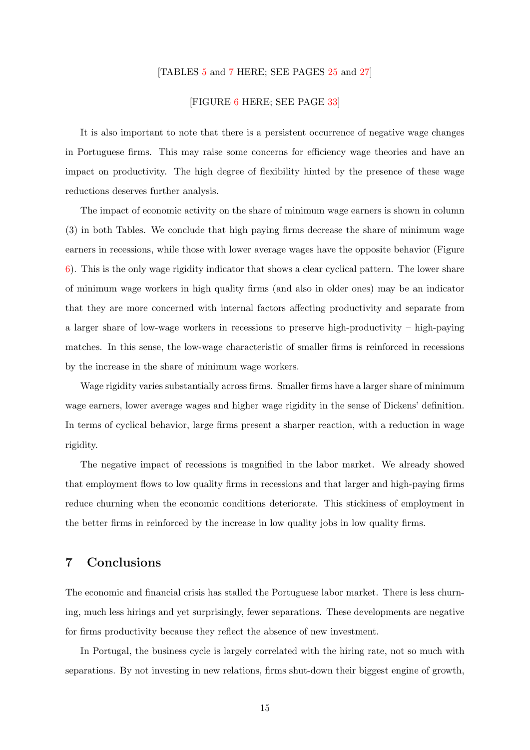#### [TABLES [5](#page-24-0) and [7](#page-26-0) HERE; SEE PAGES [25](#page-24-0) and [27\]](#page-26-0)

#### [FIGURE [6](#page-32-0) HERE; SEE PAGE [33\]](#page-32-0)

It is also important to note that there is a persistent occurrence of negative wage changes in Portuguese firms. This may raise some concerns for efficiency wage theories and have an impact on productivity. The high degree of flexibility hinted by the presence of these wage reductions deserves further analysis.

The impact of economic activity on the share of minimum wage earners is shown in column (3) in both Tables. We conclude that high paying firms decrease the share of minimum wage earners in recessions, while those with lower average wages have the opposite behavior (Figure [6\)](#page-32-0). This is the only wage rigidity indicator that shows a clear cyclical pattern. The lower share of minimum wage workers in high quality firms (and also in older ones) may be an indicator that they are more concerned with internal factors affecting productivity and separate from a larger share of low-wage workers in recessions to preserve high-productivity – high-paying matches. In this sense, the low-wage characteristic of smaller firms is reinforced in recessions by the increase in the share of minimum wage workers.

Wage rigidity varies substantially across firms. Smaller firms have a larger share of minimum wage earners, lower average wages and higher wage rigidity in the sense of Dickens' definition. In terms of cyclical behavior, large firms present a sharper reaction, with a reduction in wage rigidity.

The negative impact of recessions is magnified in the labor market. We already showed that employment flows to low quality firms in recessions and that larger and high-paying firms reduce churning when the economic conditions deteriorate. This stickiness of employment in the better firms in reinforced by the increase in low quality jobs in low quality firms.

# 7 Conclusions

The economic and financial crisis has stalled the Portuguese labor market. There is less churning, much less hirings and yet surprisingly, fewer separations. These developments are negative for firms productivity because they reflect the absence of new investment.

In Portugal, the business cycle is largely correlated with the hiring rate, not so much with separations. By not investing in new relations, firms shut-down their biggest engine of growth,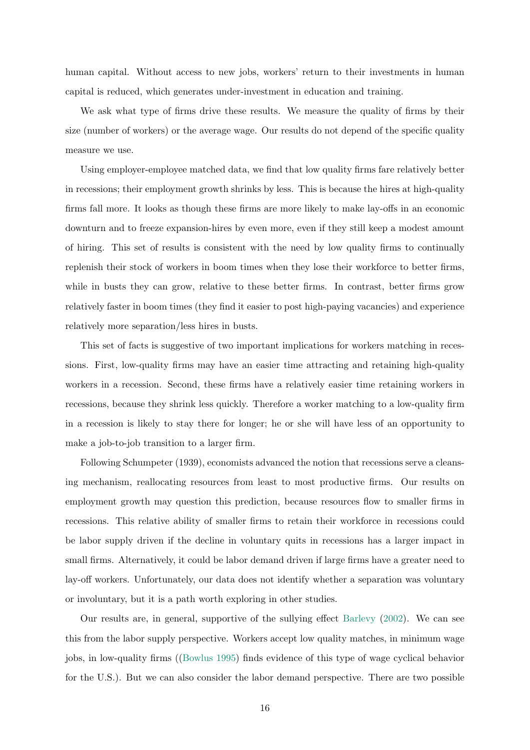human capital. Without access to new jobs, workers' return to their investments in human capital is reduced, which generates under-investment in education and training.

We ask what type of firms drive these results. We measure the quality of firms by their size (number of workers) or the average wage. Our results do not depend of the specific quality measure we use.

Using employer-employee matched data, we find that low quality firms fare relatively better in recessions; their employment growth shrinks by less. This is because the hires at high-quality firms fall more. It looks as though these firms are more likely to make lay-offs in an economic downturn and to freeze expansion-hires by even more, even if they still keep a modest amount of hiring. This set of results is consistent with the need by low quality firms to continually replenish their stock of workers in boom times when they lose their workforce to better firms, while in busts they can grow, relative to these better firms. In contrast, better firms grow relatively faster in boom times (they find it easier to post high-paying vacancies) and experience relatively more separation/less hires in busts.

This set of facts is suggestive of two important implications for workers matching in recessions. First, low-quality firms may have an easier time attracting and retaining high-quality workers in a recession. Second, these firms have a relatively easier time retaining workers in recessions, because they shrink less quickly. Therefore a worker matching to a low-quality firm in a recession is likely to stay there for longer; he or she will have less of an opportunity to make a job-to-job transition to a larger firm.

Following Schumpeter (1939), economists advanced the notion that recessions serve a cleansing mechanism, reallocating resources from least to most productive firms. Our results on employment growth may question this prediction, because resources flow to smaller firms in recessions. This relative ability of smaller firms to retain their workforce in recessions could be labor supply driven if the decline in voluntary quits in recessions has a larger impact in small firms. Alternatively, it could be labor demand driven if large firms have a greater need to lay-off workers. Unfortunately, our data does not identify whether a separation was voluntary or involuntary, but it is a path worth exploring in other studies.

Our results are, in general, supportive of the sullying effect [Barlevy](#page-16-5) [\(2002\)](#page-16-5). We can see this from the labor supply perspective. Workers accept low quality matches, in minimum wage jobs, in low-quality firms ([\(Bowlus](#page-17-11) [1995\)](#page-17-11) finds evidence of this type of wage cyclical behavior for the U.S.). But we can also consider the labor demand perspective. There are two possible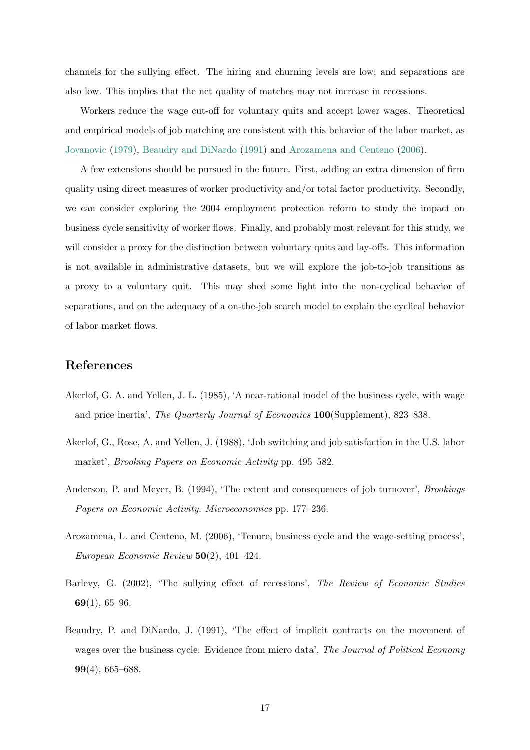channels for the sullying effect. The hiring and churning levels are low; and separations are also low. This implies that the net quality of matches may not increase in recessions.

Workers reduce the wage cut-off for voluntary quits and accept lower wages. Theoretical and empirical models of job matching are consistent with this behavior of the labor market, as [Jovanovic](#page-17-12) [\(1979\)](#page-17-12), [Beaudry and DiNardo](#page-16-0) [\(1991\)](#page-16-0) and [Arozamena and Centeno](#page-16-1) [\(2006\)](#page-16-1).

A few extensions should be pursued in the future. First, adding an extra dimension of firm quality using direct measures of worker productivity and/or total factor productivity. Secondly, we can consider exploring the 2004 employment protection reform to study the impact on business cycle sensitivity of worker flows. Finally, and probably most relevant for this study, we will consider a proxy for the distinction between voluntary quits and lay-offs. This information is not available in administrative datasets, but we will explore the job-to-job transitions as a proxy to a voluntary quit. This may shed some light into the non-cyclical behavior of separations, and on the adequacy of a on-the-job search model to explain the cyclical behavior of labor market flows.

# References

- <span id="page-16-3"></span>Akerlof, G. A. and Yellen, J. L. (1985), 'A near-rational model of the business cycle, with wage and price inertia', The Quarterly Journal of Economics 100(Supplement), 823–838.
- <span id="page-16-2"></span>Akerlof, G., Rose, A. and Yellen, J. (1988), 'Job switching and job satisfaction in the U.S. labor market', Brooking Papers on Economic Activity pp. 495–582.
- <span id="page-16-4"></span>Anderson, P. and Meyer, B. (1994), 'The extent and consequences of job turnover', *Brookings* Papers on Economic Activity. Microeconomics pp. 177–236.
- <span id="page-16-1"></span>Arozamena, L. and Centeno, M. (2006), 'Tenure, business cycle and the wage-setting process', European Economic Review  $50(2)$ , 401–424.
- <span id="page-16-5"></span>Barlevy, G. (2002), 'The sullying effect of recessions', The Review of Economic Studies 69(1), 65–96.
- <span id="page-16-0"></span>Beaudry, P. and DiNardo, J. (1991), 'The effect of implicit contracts on the movement of wages over the business cycle: Evidence from micro data', The Journal of Political Economy 99(4), 665–688.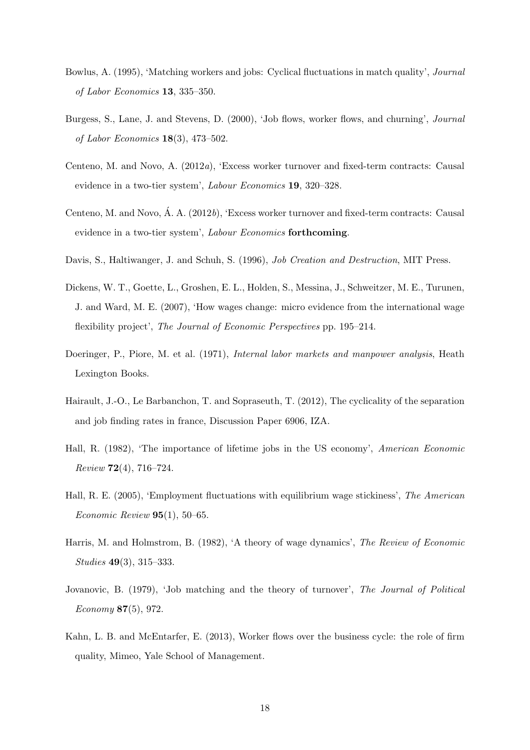- <span id="page-17-11"></span>Bowlus, A. (1995), 'Matching workers and jobs: Cyclical fluctuations in match quality', Journal of Labor Economics 13, 335–350.
- <span id="page-17-10"></span>Burgess, S., Lane, J. and Stevens, D. (2000), 'Job flows, worker flows, and churning', Journal of Labor Economics  $18(3)$ , 473-502.
- <span id="page-17-8"></span>Centeno, M. and Novo, A. (2012a), 'Excess worker turnover and fixed-term contracts: Causal evidence in a two-tier system', Labour Economics 19, 320–328.
- <span id="page-17-6"></span>Centeno, M. and Novo, Á. A.  $(2012b)$ , 'Excess worker turnover and fixed-term contracts: Causal evidence in a two-tier system', Labour Economics forthcoming.
- <span id="page-17-3"></span>Davis, S., Haltiwanger, J. and Schuh, S. (1996), *Job Creation and Destruction*, MIT Press.
- <span id="page-17-4"></span>Dickens, W. T., Goette, L., Groshen, E. L., Holden, S., Messina, J., Schweitzer, M. E., Turunen, J. and Ward, M. E. (2007), 'How wages change: micro evidence from the international wage flexibility project', The Journal of Economic Perspectives pp. 195–214.
- <span id="page-17-5"></span>Doeringer, P., Piore, M. et al. (1971), *Internal labor markets and manpower analysis*, Heath Lexington Books.
- <span id="page-17-1"></span>Hairault, J.-O., Le Barbanchon, T. and Sopraseuth, T. (2012), The cyclicality of the separation and job finding rates in france, Discussion Paper 6906, IZA.
- <span id="page-17-7"></span>Hall, R. (1982), 'The importance of lifetime jobs in the US economy', American Economic Review 72(4), 716–724.
- <span id="page-17-9"></span>Hall, R. E. (2005), 'Employment fluctuations with equilibrium wage stickiness', The American Economic Review  $95(1)$ , 50–65.
- <span id="page-17-0"></span>Harris, M. and Holmstrom, B. (1982), 'A theory of wage dynamics', The Review of Economic Studies 49(3), 315–333.
- <span id="page-17-12"></span>Jovanovic, B. (1979), 'Job matching and the theory of turnover', The Journal of Political Economy 87(5), 972.
- <span id="page-17-2"></span>Kahn, L. B. and McEntarfer, E. (2013), Worker flows over the business cycle: the role of firm quality, Mimeo, Yale School of Management.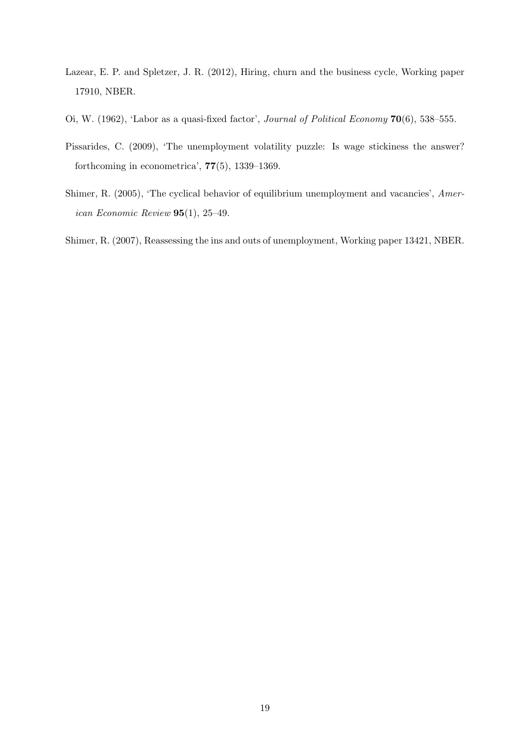- <span id="page-18-1"></span>Lazear, E. P. and Spletzer, J. R. (2012), Hiring, churn and the business cycle, Working paper 17910, NBER.
- <span id="page-18-0"></span>Oi, W. (1962), 'Labor as a quasi-fixed factor', *Journal of Political Economy* 70(6), 538–555.
- <span id="page-18-2"></span>Pissarides, C. (2009), 'The unemployment volatility puzzle: Is wage stickiness the answer? forthcoming in econometrica', 77(5), 1339–1369.
- <span id="page-18-4"></span>Shimer, R. (2005), 'The cyclical behavior of equilibrium unemployment and vacancies', American Economic Review  $95(1)$ , 25-49.

<span id="page-18-3"></span>Shimer, R. (2007), Reassessing the ins and outs of unemployment, Working paper 13421, NBER.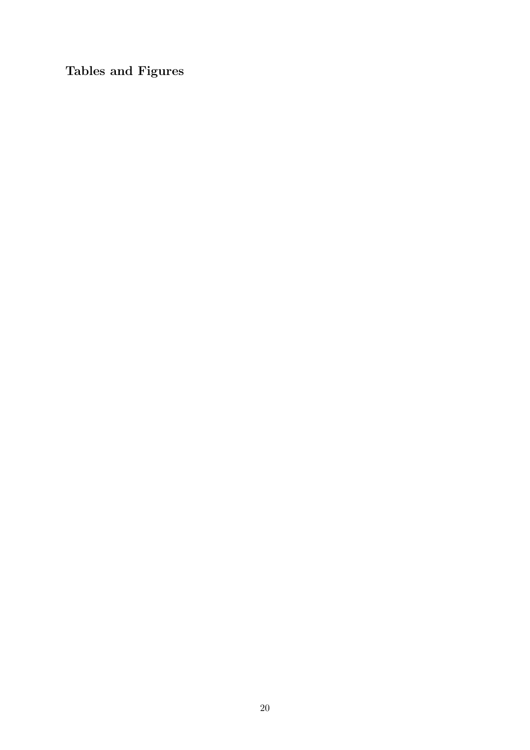Tables and Figures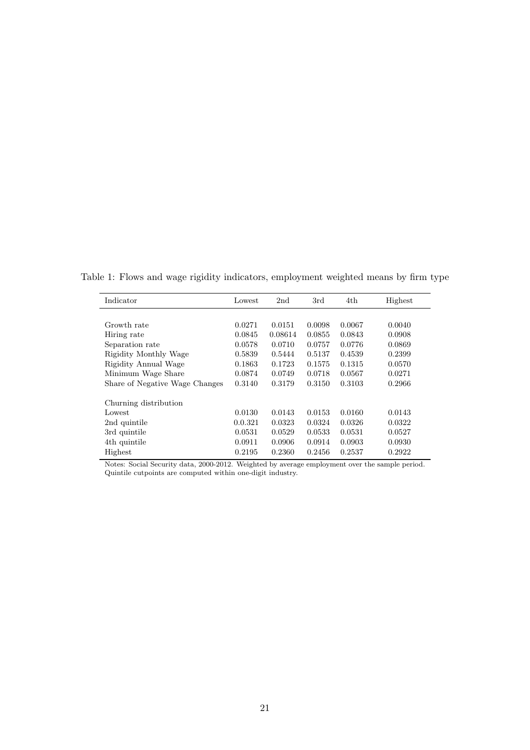| Indicator                      | Lowest  | 2 <sub>nd</sub> | 3rd    | 4th    | Highest |
|--------------------------------|---------|-----------------|--------|--------|---------|
|                                |         |                 |        |        |         |
| Growth rate                    | 0.0271  | 0.0151          | 0.0098 | 0.0067 | 0.0040  |
| Hiring rate                    | 0.0845  | 0.08614         | 0.0855 | 0.0843 | 0.0908  |
| Separation rate                | 0.0578  | 0.0710          | 0.0757 | 0.0776 | 0.0869  |
| Rigidity Monthly Wage          | 0.5839  | 0.5444          | 0.5137 | 0.4539 | 0.2399  |
| Rigidity Annual Wage           | 0.1863  | 0.1723          | 0.1575 | 0.1315 | 0.0570  |
| Minimum Wage Share             | 0.0874  | 0.0749          | 0.0718 | 0.0567 | 0.0271  |
| Share of Negative Wage Changes | 0.3140  | 0.3179          | 0.3150 | 0.3103 | 0.2966  |
|                                |         |                 |        |        |         |
| Churning distribution          |         |                 |        |        |         |
| Lowest                         | 0.0130  | 0.0143          | 0.0153 | 0.0160 | 0.0143  |
| 2nd quintile                   | 0.0.321 | 0.0323          | 0.0324 | 0.0326 | 0.0322  |
| 3rd quintile                   | 0.0531  | 0.0529          | 0.0533 | 0.0531 | 0.0527  |
| 4th quintile                   | 0.0911  | 0.0906          | 0.0914 | 0.0903 | 0.0930  |
| Highest                        | 0.2195  | 0.2360          | 0.2456 | 0.2537 | 0.2922  |

<span id="page-20-0"></span>Table 1: Flows and wage rigidity indicators, employment weighted means by firm type

Notes: Social Security data, 2000-2012. Weighted by average employment over the sample period. Quintile cutpoints are computed within one-digit industry.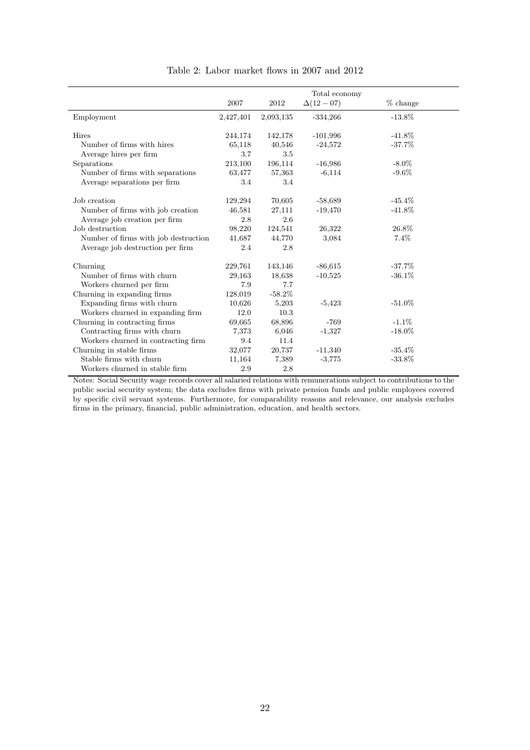<span id="page-21-0"></span>

|                                      |           |           | Total economy   |            |
|--------------------------------------|-----------|-----------|-----------------|------------|
|                                      | 2007      | 2012      | $\Delta(12-07)$ | $%$ change |
| Employment                           | 2,427,401 | 2,093,135 | $-334,266$      | $-13.8\%$  |
| Hires                                | 244,174   | 142,178   | $-101,996$      | $-41.8\%$  |
| Number of firms with hires           | 65,118    | 40,546    | $-24,572$       | $-37.7%$   |
| Average hires per firm               | 3.7       | 3.5       |                 |            |
| Separations                          | 213,100   | 196,114   | $-16,986$       | $-8.0\%$   |
| Number of firms with separations     | 63,477    | 57,363    | $-6,114$        | $-9.6\%$   |
| Average separations per firm         | 3.4       | 3.4       |                 |            |
| Job creation                         | 129,294   | 70,605    | $-58,689$       | $-45.4\%$  |
| Number of firms with job creation    | 46,581    | 27,111    | $-19,470$       | $-41.8\%$  |
| Average job creation per firm        | 2.8       | 2.6       |                 |            |
| Job destruction                      | 98,220    | 124,541   | 26,322          | 26.8%      |
| Number of firms with job destruction | 41,687    | 44,770    | 3,084           | 7.4%       |
| Average job destruction per firm     | 2.4       | 2.8       |                 |            |
| Churning                             | 229,761   | 143,146   | $-86,615$       | $-37.7\%$  |
| Number of firms with churn           | 29,163    | 18,638    | $-10,525$       | $-36.1\%$  |
| Workers churned per firm             | 7.9       | 7.7       |                 |            |
| Churning in expanding firms          | 128,019   | $-58.2%$  |                 |            |
| Expanding firms with churn           | 10,626    | 5,203     | $-5,423$        | $-51.0\%$  |
| Workers churned in expanding firm    | 12.0      | 10.3      |                 |            |
| Churning in contracting firms        | 69,665    | 68,896    | $-769$          | $-1.1\%$   |
| Contracting firms with churn         | 7,373     | 6,046     | $-1,327$        | $-18.0\%$  |
| Workers churned in contracting firm  | 9.4       | 11.4      |                 |            |
| Churning in stable firms             | 32,077    | 20,737    | $-11,340$       | $-35.4%$   |
| Stable firms with churn              | 11,164    | 7,389     | $-3,775$        | $-33.8%$   |
| Workers churned in stable firm       | 2.9       | 2.8       |                 |            |

Table 2: Labor market flows in 2007 and 2012

Notes: Social Security wage records cover all salaried relations with remunerations subject to contributions to the public social security system; the data excludes firms with private pension funds and public employees covered by specific civil servant systems. Furthermore, for comparability reasons and relevance, our analysis excludes firms in the primary, financial, public administration, education, and health sectors.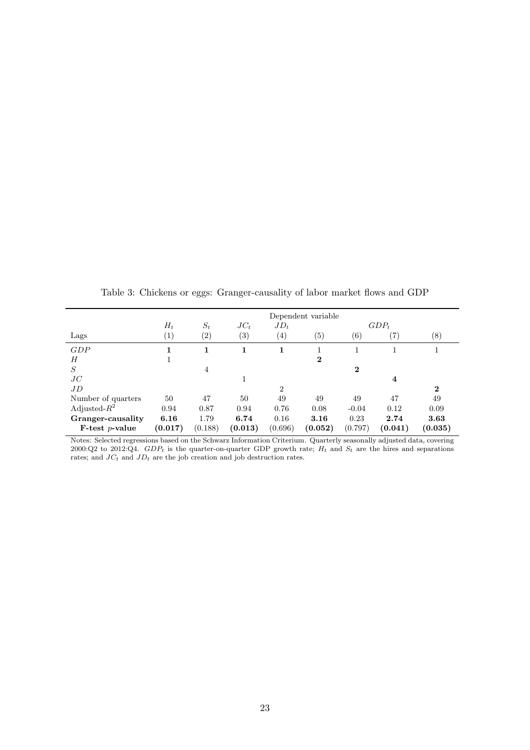<span id="page-22-0"></span>

| Lags               | $H_t$<br>$\left( 1\right)$ | $S_t$<br>(2) | $JC_t$<br>$\left( 3\right)$ | $JD_t$<br>$\left(4\right)$ | Dependent variable<br>(5) | $\left( 6\right)$ | $GDP_t$<br>(7) | (8)      |
|--------------------|----------------------------|--------------|-----------------------------|----------------------------|---------------------------|-------------------|----------------|----------|
|                    |                            |              |                             |                            |                           |                   |                |          |
| GDP                |                            | 1            | 1                           | 1                          |                           |                   |                |          |
| Н                  |                            |              |                             |                            | 2                         |                   |                |          |
| S                  |                            | 4            |                             |                            |                           | $\bf{2}$          |                |          |
| JC                 |                            |              |                             |                            |                           |                   | 4              |          |
| JD                 |                            |              |                             | $\overline{2}$             |                           |                   |                | $\bf{2}$ |
| Number of quarters | 50                         | 47           | 50                          | 49                         | 49                        | 49                | 47             | 49       |
| Adjusted- $R^2$    | 0.94                       | 0.87         | 0.94                        | 0.76                       | 0.08                      | $-0.04$           | 0.12           | 0.09     |
| Granger-causality  | 6.16                       | 1.79         | 6.74                        | 0.16                       | 3.16                      | 0.23              | 2.74           | 3.63     |
| $F-test p-value$   | (0.017)                    | (0.188)      | (0.013)                     | (0.696)                    | (0.052)                   | (0.797)           | (0.041)        | (0.035)  |

Table 3: Chickens or eggs: Granger-causality of labor market flows and GDP

Notes: Selected regressions based on the Schwarz Information Criterium. Quarterly seasonally adjusted data, covering 2000:Q2 to 2012:Q4.  $GDP_t$  is the quarter-on-quarter GDP growth rate;  $H_t$  and  $S_t$  are the hires and separations rates; and  $JC_t$  and  $JD_t$  are the job creation and job destruction rates.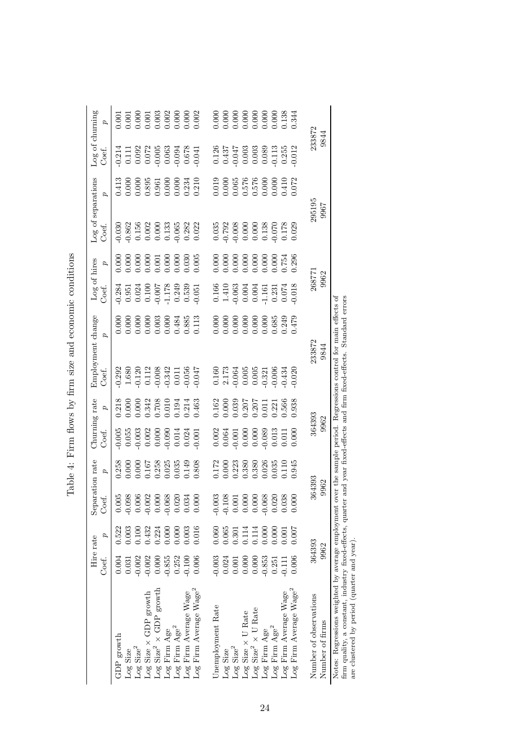|                                                                                                         |          | Hire rate | Separation rate                   |                                                                                                                                                                                                                                                                                                     | Churning rate                                                            |                                                                                                              |                                                                                                        | Employment change                                                                                                                                                                                                                | Log of hires                                                                                                                   |                                                                           | Log of separations                                                                                                                                                                                                                                                                                  |                                                                                                                                   | Log of churning                                                                                                          |                                                                                                                                                                                                                                                                                                     |
|---------------------------------------------------------------------------------------------------------|----------|-----------|-----------------------------------|-----------------------------------------------------------------------------------------------------------------------------------------------------------------------------------------------------------------------------------------------------------------------------------------------------|--------------------------------------------------------------------------|--------------------------------------------------------------------------------------------------------------|--------------------------------------------------------------------------------------------------------|----------------------------------------------------------------------------------------------------------------------------------------------------------------------------------------------------------------------------------|--------------------------------------------------------------------------------------------------------------------------------|---------------------------------------------------------------------------|-----------------------------------------------------------------------------------------------------------------------------------------------------------------------------------------------------------------------------------------------------------------------------------------------------|-----------------------------------------------------------------------------------------------------------------------------------|--------------------------------------------------------------------------------------------------------------------------|-----------------------------------------------------------------------------------------------------------------------------------------------------------------------------------------------------------------------------------------------------------------------------------------------------|
|                                                                                                         | Coef.    | d         | Coef.                             | $\sigma$                                                                                                                                                                                                                                                                                            | Coef.                                                                    | p                                                                                                            | Coef.                                                                                                  | đ                                                                                                                                                                                                                                | Coef.                                                                                                                          | $\boldsymbol{q}$                                                          | Coef.                                                                                                                                                                                                                                                                                               | $\sigma$                                                                                                                          | Coef.                                                                                                                    | $\sigma$                                                                                                                                                                                                                                                                                            |
| GDP growth                                                                                              | 0.004    | 0.522     | 05                                |                                                                                                                                                                                                                                                                                                     | 0.005                                                                    |                                                                                                              |                                                                                                        | 0.000                                                                                                                                                                                                                            |                                                                                                                                | 0.000                                                                     |                                                                                                                                                                                                                                                                                                     |                                                                                                                                   |                                                                                                                          | 0.001                                                                                                                                                                                                                                                                                               |
| Log Size                                                                                                | 0.031    | 0.003     | $-0.098$                          |                                                                                                                                                                                                                                                                                                     |                                                                          |                                                                                                              |                                                                                                        |                                                                                                                                                                                                                                  |                                                                                                                                |                                                                           |                                                                                                                                                                                                                                                                                                     |                                                                                                                                   |                                                                                                                          |                                                                                                                                                                                                                                                                                                     |
| $\mbox{Log Size}^2$                                                                                     | $-0.002$ | 0.100     | $0.006$<br>$-0.002$               |                                                                                                                                                                                                                                                                                                     |                                                                          |                                                                                                              |                                                                                                        |                                                                                                                                                                                                                                  |                                                                                                                                |                                                                           |                                                                                                                                                                                                                                                                                                     |                                                                                                                                   |                                                                                                                          |                                                                                                                                                                                                                                                                                                     |
| $\text{Log Size} \times \text{GDP growth}$                                                              | $-0.002$ | 0.432     |                                   |                                                                                                                                                                                                                                                                                                     |                                                                          |                                                                                                              |                                                                                                        |                                                                                                                                                                                                                                  |                                                                                                                                |                                                                           |                                                                                                                                                                                                                                                                                                     |                                                                                                                                   |                                                                                                                          |                                                                                                                                                                                                                                                                                                     |
| Log Size <sup>2</sup> $\times$ GDP growth                                                               | 0.000    | 0.224     | 0.000                             |                                                                                                                                                                                                                                                                                                     |                                                                          |                                                                                                              |                                                                                                        |                                                                                                                                                                                                                                  |                                                                                                                                |                                                                           |                                                                                                                                                                                                                                                                                                     |                                                                                                                                   |                                                                                                                          |                                                                                                                                                                                                                                                                                                     |
| Log Firm Age                                                                                            | $-0.855$ | 0.000     | $-0.068$<br>0.020                 | 0.258<br>0.000<br>0.000 167<br>0.258<br>0.035<br>0.808                                                                                                                                                                                                                                              | $\begin{array}{c} 0.055\ 0.003\ 0.002\ 0.000\ 0.000\ 0.014 \end{array}$  | 0.218<br>0.000 0.000 0.000 0.000 0.000<br>0.708 0.010 0.194<br>0.214 0.000 0.463                             | $0.292$<br>$1.680$<br>$1.120$<br>$0.112$<br>$0.008$<br>$0.011$<br>$0.011$<br>$0.047$                   | $0.000$<br>$0.000$<br>$0.000$<br>$0.003$<br>$0.000$<br>$0.485$<br>$0.85$<br>$0.3113$                                                                                                                                             | $\begin{array}{c} 0.284 \\ 0.951 \\ 0.024 \\ 0.100 \\ 0.100 \\ 0.78 \\ 0.339 \\ 0.539 \\ 0.61 \\ 0.03 \\ 0.051 \\ \end{array}$ | $0.000$<br>$0.000$<br>$0.000$<br>$0.001$<br>$0.000$<br>$0.000$<br>$0.005$ | $\begin{array}{l} 030 \\ 0.0362 \\ 0.156 \\ 0.002 \\ 0.000 \\ 0.000 \\ 0.0065 \\ 0.282 \\ 0.022 \\ 0.000 \\ 0.000 \\ 0.000 \\ 0.000 \\ 0.000 \\ 0.000 \\ 0.000 \\ 0.000 \\ 0.000 \\ 0.000 \\ 0.000 \\ 0.000 \\ 0.000 \\ 0.000 \\ 0.000 \\ 0.000 \\ 0.000 \\ 0.000 \\ 0.000 \\ 0.000 \\ 0.000 \\ 0.$ | $\begin{array}{r} 0.413 \\ 0.000 \\ 0.000 \\ 0.895 \\ 0.361 \\ 0.000 \\ 0.000 \\ 0.000 \\ 0.234 \\ 0.210 \\ 0.234 \\ \end{array}$ | $\begin{array}{l} 0.214 \\ 0.111 \\ 0.092 \\ 0.072 \\ 0.005 \\ 0.003 \\ 0.003 \\ 0.004 \\ 0.078 \\ 0.041 \\ \end{array}$ |                                                                                                                                                                                                                                                                                                     |
| Log Firm $Age^2$                                                                                        | 0.252    | 0.000     |                                   |                                                                                                                                                                                                                                                                                                     |                                                                          |                                                                                                              |                                                                                                        |                                                                                                                                                                                                                                  |                                                                                                                                |                                                                           |                                                                                                                                                                                                                                                                                                     |                                                                                                                                   |                                                                                                                          |                                                                                                                                                                                                                                                                                                     |
| Log Firm Average Wage                                                                                   | $-0.100$ | 0.003     | 0.034                             |                                                                                                                                                                                                                                                                                                     | $0.024$<br>$0.001$                                                       |                                                                                                              |                                                                                                        |                                                                                                                                                                                                                                  |                                                                                                                                |                                                                           |                                                                                                                                                                                                                                                                                                     |                                                                                                                                   |                                                                                                                          |                                                                                                                                                                                                                                                                                                     |
| Log Firm Average Wage <sup>2</sup>                                                                      | 0.006    | 0.016     | 0.000                             |                                                                                                                                                                                                                                                                                                     |                                                                          |                                                                                                              |                                                                                                        |                                                                                                                                                                                                                                  |                                                                                                                                |                                                                           |                                                                                                                                                                                                                                                                                                     |                                                                                                                                   |                                                                                                                          | $\begin{array}{r} 0.001 \\ 0.000 \\ 0.001 \\ 0.003 \\ 0.002 \\ 0.000 \\ 0.000 \\ 0.000 \\ 0.002 \\ 0.003 \\ 0.003 \\ 0.000 \\ 0.002 \\ 0.003 \\ 0.003 \\ 0.004 \\ 0.004 \\ 0.000 \\ 0.000 \\ 0.000 \\ 0.000 \\ 0.000 \\ 0.000 \\ 0.000 \\ 0.000 \\ 0.000 \\ 0.000 \\ 0.000 \\ 0.000 \\ 0.000 \\ 0.$ |
|                                                                                                         |          |           |                                   |                                                                                                                                                                                                                                                                                                     |                                                                          |                                                                                                              |                                                                                                        |                                                                                                                                                                                                                                  |                                                                                                                                |                                                                           |                                                                                                                                                                                                                                                                                                     |                                                                                                                                   |                                                                                                                          |                                                                                                                                                                                                                                                                                                     |
| Unemployment Rate                                                                                       | $-0.003$ | 0.060     | $-0.003$                          |                                                                                                                                                                                                                                                                                                     |                                                                          |                                                                                                              |                                                                                                        |                                                                                                                                                                                                                                  |                                                                                                                                |                                                                           |                                                                                                                                                                                                                                                                                                     |                                                                                                                                   |                                                                                                                          |                                                                                                                                                                                                                                                                                                     |
| Log Size                                                                                                | 0.024    | 0.065     |                                   |                                                                                                                                                                                                                                                                                                     |                                                                          |                                                                                                              |                                                                                                        |                                                                                                                                                                                                                                  |                                                                                                                                |                                                                           |                                                                                                                                                                                                                                                                                                     |                                                                                                                                   |                                                                                                                          |                                                                                                                                                                                                                                                                                                     |
| $\mbox{Log}\ \mbox{Size}^2$                                                                             | 0.001    | 0.301     | $-0.108$<br>0.001                 |                                                                                                                                                                                                                                                                                                     |                                                                          |                                                                                                              |                                                                                                        |                                                                                                                                                                                                                                  |                                                                                                                                |                                                                           |                                                                                                                                                                                                                                                                                                     |                                                                                                                                   |                                                                                                                          |                                                                                                                                                                                                                                                                                                     |
| Log Size $\times$ U Rate                                                                                | 0.000    | 0.114     | $0.000$<br>0.000                  |                                                                                                                                                                                                                                                                                                     | $\begin{array}{c} 0.002 \\ 0.064 \\ 0.001 \\ 0.000 \\ 0.000 \end{array}$ |                                                                                                              |                                                                                                        |                                                                                                                                                                                                                                  |                                                                                                                                |                                                                           |                                                                                                                                                                                                                                                                                                     |                                                                                                                                   |                                                                                                                          |                                                                                                                                                                                                                                                                                                     |
| $\ensuremath{\text{\rm Log}}\xspace\ensuremath{\text{\rm Size}}\xspace^2$ $\times$ U Rate               | 0.000    | 0.114     |                                   |                                                                                                                                                                                                                                                                                                     |                                                                          |                                                                                                              |                                                                                                        |                                                                                                                                                                                                                                  |                                                                                                                                |                                                                           |                                                                                                                                                                                                                                                                                                     |                                                                                                                                   |                                                                                                                          |                                                                                                                                                                                                                                                                                                     |
| Log Firm Age                                                                                            | $-0.853$ | 0.000     | $-0.068$                          | $\begin{array}{l} 0.172 \\ 0.000 \\ 0.233 \\ 0.380 \\ 0.380 \\ 0.006 \\ 0.036 \\ 0.035 \\ 0.035 \\ 0.035 \\ 0.035 \\ 0.037 \\ 0.039 \\ 0.039 \\ 0.039 \\ 0.039 \\ 0.039 \\ 0.039 \\ 0.039 \\ 0.039 \\ 0.039 \\ 0.039 \\ 0.039 \\ 0.039 \\ 0.039 \\ 0.039 \\ 0.039 \\ 0.039 \\ 0.039 \\ 0.039 \\ 0.$ | $\begin{array}{c} 0.089 \\ 0.013 \\ 0.011 \end{array}$                   | $\begin{array}{r} 1.162 \\ 0.000 \\ 0.039 \\ 0.207 \\ 0.207 \\ 0.211 \\ 0.211 \\ 0.321 \\ 0.566 \end{array}$ | $\begin{array}{c} 0.160 \\ 2.173 \\ 0.064 \\ 0.005 \\ 0.003 \\ 0.321 \\ 0.006 \\ 0.006 \\ \end{array}$ | $0.000$<br>0.000 0.000 0.000 0.000 0.000 0.000 0.000 0.000 0.000 0.000 0.000 0.000 0.000 0.000 0.000 0.000 0.000 0.000 0.000 0.000 0.000 0.000 0.000 0.000 0.000 0.000 0.000 0.000 0.000 0.000 0.000 0.000 0.000 0.000 0.000 0.0 | $\begin{array}{l} 0.166 \\ 1.410 \\ 0.063 \\ 0.0004 \\ 0.0101 \\ 0.231 \\ 0.074 \\ \end{array}$                                | $0.000$<br>$0.000$<br>$0.000$<br>$0.000$<br>$0.000$<br>$0.000$<br>$0.000$ | $\begin{array}{l} 0.035\\0.792\\0.008\\0.0000\\0.0000\\0.138\\0.178\\0.020\\0.0178\\0.029 \end{array}$                                                                                                                                                                                              | 0.019<br>0.000<br>0.576<br>0.000<br>0.01410<br>0.072                                                                              | $\begin{array}{l} 0.126 \\ 0.437 \\ 0.047 \\ 0.003 \\ 0.003 \\ 0.003 \\ 0.113 \\ 0.255 \end{array}$                      | $0.000$<br>$0.000$<br>$0.000$<br>$0.000$<br>$0.000$<br>$0.000$<br>$0.000$<br>$0.138$<br>$0.1344$                                                                                                                                                                                                    |
| $\rm Log$ Firm $\rm Age^2$                                                                              | 0.251    | 0.000     | <sub>38</sub><br>$\sum_{i=1}^{n}$ |                                                                                                                                                                                                                                                                                                     |                                                                          |                                                                                                              |                                                                                                        |                                                                                                                                                                                                                                  |                                                                                                                                |                                                                           |                                                                                                                                                                                                                                                                                                     |                                                                                                                                   |                                                                                                                          |                                                                                                                                                                                                                                                                                                     |
| Log Firm Average Wage                                                                                   | $-0.111$ | 0.001     |                                   |                                                                                                                                                                                                                                                                                                     |                                                                          |                                                                                                              |                                                                                                        |                                                                                                                                                                                                                                  |                                                                                                                                |                                                                           |                                                                                                                                                                                                                                                                                                     |                                                                                                                                   |                                                                                                                          |                                                                                                                                                                                                                                                                                                     |
| Log Firm Average Wage <sup>2</sup>                                                                      | 0.006    | 0.007     | 0.000                             | 1.945                                                                                                                                                                                                                                                                                               | 0.000                                                                    | 0.938                                                                                                        | 0.020                                                                                                  |                                                                                                                                                                                                                                  | 0.018                                                                                                                          | 0.296                                                                     |                                                                                                                                                                                                                                                                                                     |                                                                                                                                   | 0.012                                                                                                                    |                                                                                                                                                                                                                                                                                                     |
|                                                                                                         |          |           |                                   |                                                                                                                                                                                                                                                                                                     |                                                                          |                                                                                                              |                                                                                                        |                                                                                                                                                                                                                                  |                                                                                                                                |                                                                           |                                                                                                                                                                                                                                                                                                     |                                                                                                                                   |                                                                                                                          |                                                                                                                                                                                                                                                                                                     |
| Number of observations                                                                                  |          | 364393    | 364393                            |                                                                                                                                                                                                                                                                                                     | 364393                                                                   |                                                                                                              |                                                                                                        | 233872<br>9844                                                                                                                                                                                                                   | 268771                                                                                                                         |                                                                           | 295195                                                                                                                                                                                                                                                                                              |                                                                                                                                   | 233872                                                                                                                   |                                                                                                                                                                                                                                                                                                     |
| Number of firms                                                                                         |          | 9962      | 9962                              |                                                                                                                                                                                                                                                                                                     | 9962                                                                     |                                                                                                              |                                                                                                        |                                                                                                                                                                                                                                  | 9962                                                                                                                           |                                                                           | 7966                                                                                                                                                                                                                                                                                                |                                                                                                                                   | 9844                                                                                                                     |                                                                                                                                                                                                                                                                                                     |
| Notes: Regressions weighted by average employment                                                       |          |           |                                   |                                                                                                                                                                                                                                                                                                     |                                                                          |                                                                                                              |                                                                                                        | over the sample period. Regressions control for main effects of                                                                                                                                                                  |                                                                                                                                |                                                                           |                                                                                                                                                                                                                                                                                                     |                                                                                                                                   |                                                                                                                          |                                                                                                                                                                                                                                                                                                     |
| firm quality, a constant, industry fixed-effects, quarter<br>are clustered by period (quarter and year) |          |           |                                   |                                                                                                                                                                                                                                                                                                     |                                                                          |                                                                                                              |                                                                                                        | and year fixed-effects and firm fixed-effects. Standard errors                                                                                                                                                                   |                                                                                                                                |                                                                           |                                                                                                                                                                                                                                                                                                     |                                                                                                                                   |                                                                                                                          |                                                                                                                                                                                                                                                                                                     |
|                                                                                                         |          |           |                                   |                                                                                                                                                                                                                                                                                                     |                                                                          |                                                                                                              |                                                                                                        |                                                                                                                                                                                                                                  |                                                                                                                                |                                                                           |                                                                                                                                                                                                                                                                                                     |                                                                                                                                   |                                                                                                                          |                                                                                                                                                                                                                                                                                                     |

<span id="page-23-0"></span>Table 4: Firm flows by firm size and economic conditions Table 4: Firm flows by firm size and economic conditions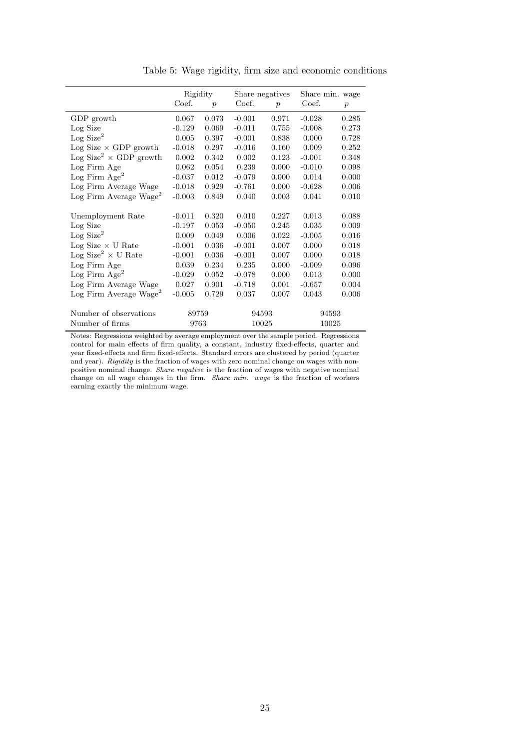<span id="page-24-0"></span>

|                                           | Rigidity |                  | Share negatives |                  | Share min. wage |                  |
|-------------------------------------------|----------|------------------|-----------------|------------------|-----------------|------------------|
|                                           | Coef.    | $\boldsymbol{p}$ | Coef.           | $\boldsymbol{p}$ | Coef.           | $\boldsymbol{p}$ |
| GDP growth                                | 0.067    | 0.073            | $-0.001$        | 0.971            | $-0.028$        | 0.285            |
| Log Size                                  | $-0.129$ | 0.069            | $-0.011$        | 0.755            | $-0.008$        | 0.273            |
| Log Size <sup>2</sup>                     | 0.005    | 0.397            | $-0.001$        | 0.838            | 0.000           | 0.728            |
| $Log Size \times GDP$ growth              | $-0.018$ | 0.297            | $-0.016$        | 0.160            | 0.009           | 0.252            |
| Log Size <sup>2</sup> $\times$ GDP growth | 0.002    | 0.342            | 0.002           | 0.123            | $-0.001$        | 0.348            |
| Log Firm Age                              | 0.062    | 0.054            | 0.239           | 0.000            | $-0.010$        | 0.098            |
| Log Firm Age <sup>2</sup>                 | $-0.037$ | 0.012            | $-0.079$        | 0.000            | 0.014           | 0.000            |
| Log Firm Average Wage                     | $-0.018$ | 0.929            | $-0.761$        | 0.000            | $-0.628$        | 0.006            |
| $\text{Log Firm Average Wave}^2$          | $-0.003$ | 0.849            | 0.040           | 0.003            | 0.041           | 0.010            |
| Unemployment Rate                         | $-0.011$ | 0.320            | 0.010           | 0.227            | 0.013           | 0.088            |
| Log Size                                  | $-0.197$ | 0.053            | $-0.050$        | 0.245            | 0.035           | 0.009            |
| Log Size <sup>2</sup>                     | 0.009    | 0.049            | 0.006           | 0.022            | $-0.005$        | 0.016            |
| $\rm Log$ Size $\times$ U Rate            | $-0.001$ | 0.036            | $-0.001$        | 0.007            | 0.000           | 0.018            |
| Log Size <sup>2</sup> $\times$ U Rate     | $-0.001$ | 0.036            | $-0.001$        | 0.007            | 0.000           | 0.018            |
| Log Firm Age                              | 0.039    | 0.234            | 0.235           | 0.000            | $-0.009$        | 0.096            |
| Log Firm $Age^2$                          | $-0.029$ | 0.052            | $-0.078$        | 0.000            | 0.013           | 0.000            |
| Log Firm Average Wage                     | 0.027    | 0.901            | $-0.718$        | 0.001            | $-0.657$        | 0.004            |
| $\text{Log Firm Average wage}$            | $-0.005$ | 0.729            | 0.037           | 0.007            | 0.043           | 0.006            |
| Number of observations                    | 89759    |                  | 94593           |                  | 94593           |                  |
| Number of firms                           | 9763     |                  | 10025           |                  | 10025           |                  |

Table 5: Wage rigidity, firm size and economic conditions

Notes: Regressions weighted by average employment over the sample period. Regressions control for main effects of firm quality, a constant, industry fixed-effects, quarter and year fixed-effects and firm fixed-effects. Standard errors are clustered by period (quarter and year). Rigidity is the fraction of wages with zero nominal change on wages with nonpositive nominal change. Share negative is the fraction of wages with negative nominal change on all wage changes in the firm. Share min. wage is the fraction of workers earning exactly the minimum wage.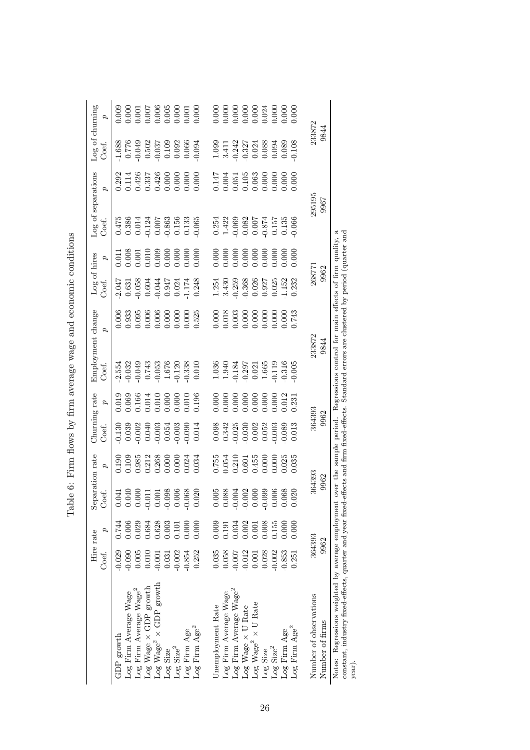<span id="page-25-0"></span>

|                                                                                                                                                        | Hire rate<br>Coef.   | p              | Separation rate<br>Coef.                                         | 2                                                                                    | Churning rate<br>Coef.                                                                                                                                                                                                                  | d                                                                         | Employment change<br>Coef.                                                                                          | $\sigma$                                                                  | Log of hires<br>Coef.                                                                                                    | p                                                                                                                                                                                                                                                                                                   | Log of separations<br>Coef.                                                                             | $\boldsymbol{\beta}$                                    | Log of churning<br>Coef.                                                                                                                                                                                                                                              | 2                                                                                                                                                                                                                                                                                                   |
|--------------------------------------------------------------------------------------------------------------------------------------------------------|----------------------|----------------|------------------------------------------------------------------|--------------------------------------------------------------------------------------|-----------------------------------------------------------------------------------------------------------------------------------------------------------------------------------------------------------------------------------------|---------------------------------------------------------------------------|---------------------------------------------------------------------------------------------------------------------|---------------------------------------------------------------------------|--------------------------------------------------------------------------------------------------------------------------|-----------------------------------------------------------------------------------------------------------------------------------------------------------------------------------------------------------------------------------------------------------------------------------------------------|---------------------------------------------------------------------------------------------------------|---------------------------------------------------------|-----------------------------------------------------------------------------------------------------------------------------------------------------------------------------------------------------------------------------------------------------------------------|-----------------------------------------------------------------------------------------------------------------------------------------------------------------------------------------------------------------------------------------------------------------------------------------------------|
| Log Firm Average Wage<br>GDP growth                                                                                                                    | $-0.090$<br>$-0.029$ | 0.006<br>0.744 | 0.041                                                            | $0.190$<br>$0.985$<br>$0.212$<br>$0.268$<br>$0.260$<br>$0.000$<br>$0.000$<br>$0.000$ | 0.130                                                                                                                                                                                                                                   | 0.019<br>0.069<br>0.010 0.010<br>0.000 0.000<br>0.010 0.000               | $-2.554$<br>$-0.032$<br>$-0.049$<br>$-1.6743$<br>$-1.676$<br>$-1.676$<br>$-0.120$<br>$-0.338$                       | 0.006                                                                     | 2.047                                                                                                                    | $\begin{array}{r} 0.011 \\ 0.008 \\ 0.001 \\ 0.010 \\ 0.000 \\ 0.000 \\ 0.000 \\ 0.000 \\ 0.000 \\ 0.000 \\ 0.000 \\ 0.000 \\ 0.000 \\ 0.000 \\ 0.000 \\ 0.000 \\ 0.000 \\ 0.000 \\ 0.000 \\ 0.000 \\ 0.000 \\ 0.000 \\ 0.000 \\ 0.000 \\ 0.000 \\ 0.000 \\ 0.000 \\ 0.000 \\ 0.000 \\ 0.000 \\ 0.$ | $\begin{array}{c} 0.475 \\ 0.386 \\ 0.014 \\ 0.0124 \\ 0.007 \\ 0.007 \\ 0.156 \\ 0.133 \end{array}$    | 0.292<br>0.114<br>0.426<br>0.337<br>0.000<br>0.000      | $-1.688$<br>$0.776$<br>$0.049$<br>$0.502$<br>$0.037$<br>$0.092$<br>$0.066$<br>$0.094$                                                                                                                                                                                 | 0.009                                                                                                                                                                                                                                                                                               |
| Log Firm Average Wage <sup>2</sup>                                                                                                                     | 0.005                | 0.029          | $\begin{array}{c} 0.040 \\ 0.000 \\ \textbf{-0.011} \end{array}$ |                                                                                      | $\begin{array}{c} 0.039 \\ -0.002 \\ 0.040 \\ -0.003 \\ -0.003 \\ -0.003 \\ -0.003 \end{array}$                                                                                                                                         |                                                                           |                                                                                                                     | $0.933$<br>0.095<br>0.006<br>0.000<br>0.000<br>0.525                      | $\begin{array}{c} 0.631 \\ -0.058 \\ 0.604 \\ 0.044 \\ 0.047 \\ 0.024 \\ 1.174 \\ 0.248 \end{array}$                     |                                                                                                                                                                                                                                                                                                     |                                                                                                         |                                                         |                                                                                                                                                                                                                                                                       | $\begin{array}{r} 0.000 \\ 0.001 \\ 0.007 \\ 0.006 \\ 0.005 \\ 0.005 \\ 0.000 \\ 0.001 \\ 0.000 \\ 0.000 \\ 0.000 \\ 0.000 \\ 0.000 \\ 0.000 \\ 0.000 \\ 0.000 \\ 0.000 \\ 0.000 \\ 0.000 \\ 0.000 \\ 0.000 \\ 0.000 \\ 0.000 \\ 0.000 \\ 0.000 \\ 0.000 \\ 0.000 \\ 0.000 \\ 0.000 \\ 0.000 \\ 0.$ |
| $Log$ Wage $\times$ GDP growth                                                                                                                         | 0.010                | 0.684          |                                                                  |                                                                                      |                                                                                                                                                                                                                                         |                                                                           |                                                                                                                     |                                                                           |                                                                                                                          |                                                                                                                                                                                                                                                                                                     |                                                                                                         |                                                         |                                                                                                                                                                                                                                                                       |                                                                                                                                                                                                                                                                                                     |
| $\rm Log~Wage^2 \times GDP~growth$                                                                                                                     | $-0.001$             | 0.628          | 0.001                                                            |                                                                                      |                                                                                                                                                                                                                                         |                                                                           |                                                                                                                     |                                                                           |                                                                                                                          |                                                                                                                                                                                                                                                                                                     |                                                                                                         |                                                         |                                                                                                                                                                                                                                                                       |                                                                                                                                                                                                                                                                                                     |
| Log Size                                                                                                                                               | 0.031                | 0.003          |                                                                  |                                                                                      |                                                                                                                                                                                                                                         |                                                                           |                                                                                                                     |                                                                           |                                                                                                                          |                                                                                                                                                                                                                                                                                                     |                                                                                                         |                                                         |                                                                                                                                                                                                                                                                       |                                                                                                                                                                                                                                                                                                     |
| $\mbox{Log Size}^2$                                                                                                                                    | $-0.002$             | 0.101          | 0.006                                                            |                                                                                      |                                                                                                                                                                                                                                         |                                                                           |                                                                                                                     |                                                                           |                                                                                                                          |                                                                                                                                                                                                                                                                                                     |                                                                                                         |                                                         |                                                                                                                                                                                                                                                                       |                                                                                                                                                                                                                                                                                                     |
| Log Firm Age                                                                                                                                           | $-0.854$             | 0.000          | $-0.068$                                                         |                                                                                      |                                                                                                                                                                                                                                         |                                                                           |                                                                                                                     |                                                                           |                                                                                                                          |                                                                                                                                                                                                                                                                                                     |                                                                                                         |                                                         |                                                                                                                                                                                                                                                                       |                                                                                                                                                                                                                                                                                                     |
| Log Firm $\mathrm{Age}^2$                                                                                                                              | 0.252                | 0.000          | 020                                                              | 0.034                                                                                | 0.014                                                                                                                                                                                                                                   |                                                                           |                                                                                                                     |                                                                           |                                                                                                                          |                                                                                                                                                                                                                                                                                                     | 0.065                                                                                                   |                                                         |                                                                                                                                                                                                                                                                       |                                                                                                                                                                                                                                                                                                     |
| Unemployment Rate                                                                                                                                      | 0.035                | 0.009          | 0.005                                                            |                                                                                      |                                                                                                                                                                                                                                         |                                                                           |                                                                                                                     | 000.                                                                      |                                                                                                                          |                                                                                                                                                                                                                                                                                                     |                                                                                                         |                                                         |                                                                                                                                                                                                                                                                       | 0.000                                                                                                                                                                                                                                                                                               |
| Log Firm Average Wage                                                                                                                                  | 0.058                | 0.191          | 0.088                                                            |                                                                                      |                                                                                                                                                                                                                                         |                                                                           |                                                                                                                     |                                                                           |                                                                                                                          |                                                                                                                                                                                                                                                                                                     |                                                                                                         |                                                         |                                                                                                                                                                                                                                                                       |                                                                                                                                                                                                                                                                                                     |
| Log Firm Average Wage <sup>2</sup>                                                                                                                     | $-0.007$             | 0.034          | $-0.004$                                                         | 1,755<br>0.054<br>0.010 1,455<br>0.000 0.000<br>0.035                                | $\begin{array}{l} 0.098\ 0.342\ 0.025\ 0.000\ 0.000\ 0.000\ 0.000\ 0.000\ 0.000\ 0.000\ 0.000\ 0.000\ 0.000\ 0.000\ 0.000\ 0.000\ 0.000\ 0.000\ 0.000\ 0.000\ 0.000\ 0.000\ 0.000\ 0.000\ 0.000\ 0.000\ 0.000\ 0.000\ 0.000\ 0.000\ 0.$ | $0.000$<br>$0.000$<br>$0.000$<br>$0.000$<br>$0.000$<br>$0.000$<br>$0.012$ | $\begin{array}{l} 1.036\\ 1.940\\ 1.184\\ 0.1297\\ 0.021\\ 1.665\\ 1.19\\ 0.011\\ 0.031\\ 0.05\\ 0.005 \end{array}$ | $0.018$<br>$0.003$<br>$0.000$<br>$0.000$<br>$0.000$<br>$0.000$<br>$0.000$ | $\begin{array}{l} 1.254 \\ 3.430 \\ 0.259 \\ 0.368 \\ 0.026 \\ 0.027 \\ 1.152 \\ 0.023 \\ 1.152 \\ 0.033 \\ \end{array}$ | $0.000$<br>0.000 0.000<br>0.000 0.000 0.000<br>0.000 0.000                                                                                                                                                                                                                                          | $\begin{array}{c} 0.254 \\ 1.422 \\ -0.069 \\ 0.082 \\ 0.074 \\ 0.157 \\ 0.135 \\ 0.135 \\ \end{array}$ | $0.147$<br>0.004<br>0.051105<br>0.063<br>0.000<br>0.000 | $\begin{array}{l} 1.099\\ 1.411\\ 3.242\\ 0.327\\ 0.000\\ 0.000\\ 0.000\\ 0.000\\ 0.000\\ 0.000\\ 0.000\\ 0.000\\ 0.000\\ 0.000\\ 0.000\\ 0.000\\ 0.000\\ 0.000\\ 0.000\\ 0.000\\ 0.000\\ 0.000\\ 0.000\\ 0.000\\ 0.000\\ 0.000\\ 0.000\\ 0.000\\ 0.000\\ 0.000\\ 0.$ | $0.000$<br>$0.000$<br>$0.000$<br>$0.000$<br>$0.000$<br>$0.000$                                                                                                                                                                                                                                      |
| Log Wage $\times$ U Rate                                                                                                                               | $-0.012$             | 0.002          |                                                                  |                                                                                      |                                                                                                                                                                                                                                         |                                                                           |                                                                                                                     |                                                                           |                                                                                                                          |                                                                                                                                                                                                                                                                                                     |                                                                                                         |                                                         |                                                                                                                                                                                                                                                                       |                                                                                                                                                                                                                                                                                                     |
| $\rm Log~Wage^2 \times U~Rate$                                                                                                                         | 0.001                | 0.001          | $-0.002$<br>0.000                                                |                                                                                      |                                                                                                                                                                                                                                         |                                                                           |                                                                                                                     |                                                                           |                                                                                                                          |                                                                                                                                                                                                                                                                                                     |                                                                                                         |                                                         |                                                                                                                                                                                                                                                                       |                                                                                                                                                                                                                                                                                                     |
| Log Size                                                                                                                                               | 0.028                | 0.008          | $-0.099$<br>0.006<br>0.006                                       |                                                                                      |                                                                                                                                                                                                                                         |                                                                           |                                                                                                                     |                                                                           |                                                                                                                          |                                                                                                                                                                                                                                                                                                     |                                                                                                         |                                                         |                                                                                                                                                                                                                                                                       |                                                                                                                                                                                                                                                                                                     |
| $\mbox{Log Size}^2$                                                                                                                                    | $-0.002$             | 0.155          |                                                                  |                                                                                      |                                                                                                                                                                                                                                         |                                                                           |                                                                                                                     |                                                                           |                                                                                                                          |                                                                                                                                                                                                                                                                                                     |                                                                                                         |                                                         |                                                                                                                                                                                                                                                                       |                                                                                                                                                                                                                                                                                                     |
| Log Firm Age                                                                                                                                           | $-0.853$             | 0.000          |                                                                  |                                                                                      |                                                                                                                                                                                                                                         |                                                                           |                                                                                                                     |                                                                           |                                                                                                                          |                                                                                                                                                                                                                                                                                                     |                                                                                                         |                                                         |                                                                                                                                                                                                                                                                       |                                                                                                                                                                                                                                                                                                     |
| $\mbox{Log}$ Firm $\mbox{Age}^2$                                                                                                                       | 0.251                | 0.000          | 20                                                               |                                                                                      |                                                                                                                                                                                                                                         |                                                                           |                                                                                                                     |                                                                           |                                                                                                                          | 000.0                                                                                                                                                                                                                                                                                               |                                                                                                         |                                                         |                                                                                                                                                                                                                                                                       |                                                                                                                                                                                                                                                                                                     |
| Number of observations                                                                                                                                 | 364393               |                | 364393                                                           |                                                                                      | 364393                                                                                                                                                                                                                                  |                                                                           |                                                                                                                     |                                                                           | 268771                                                                                                                   |                                                                                                                                                                                                                                                                                                     | 295195                                                                                                  |                                                         | 233872                                                                                                                                                                                                                                                                |                                                                                                                                                                                                                                                                                                     |
| Number of firms                                                                                                                                        | 9962                 |                | 9962                                                             |                                                                                      | 9962                                                                                                                                                                                                                                    |                                                                           | 233872<br>9844                                                                                                      |                                                                           | 9962                                                                                                                     |                                                                                                                                                                                                                                                                                                     | 7966                                                                                                    |                                                         | 9844                                                                                                                                                                                                                                                                  |                                                                                                                                                                                                                                                                                                     |
| constant, industry fixed-effects, quarter and year fixed-effects and firm fixed-effects.<br>Notes: Regressions weighted by average employment<br>year) |                      |                |                                                                  |                                                                                      | over the sample period.                                                                                                                                                                                                                 | Regressions                                                               | Standard errors are clustered by period (quarter and                                                                | control for main effects of firm quality, a                               |                                                                                                                          |                                                                                                                                                                                                                                                                                                     |                                                                                                         |                                                         |                                                                                                                                                                                                                                                                       |                                                                                                                                                                                                                                                                                                     |

Table 6: Firm flows by firm average wage and economic conditions Table 6: Firm flows by firm average wage and economic conditions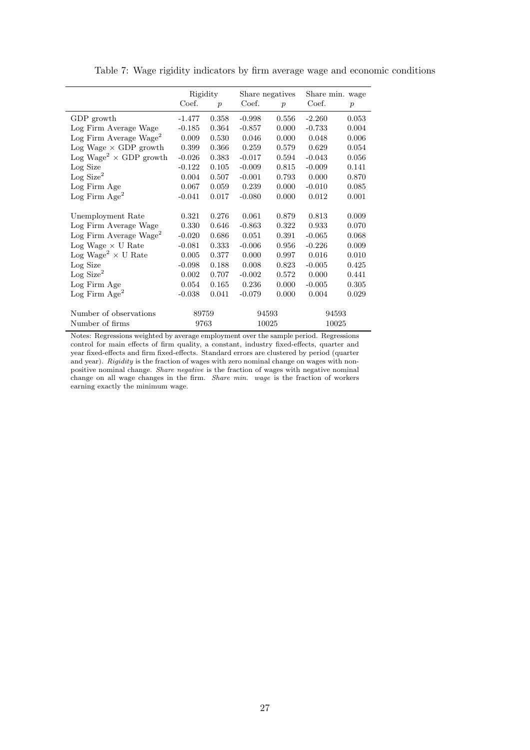<span id="page-26-0"></span>

|                                           | Rigidity |                  | Share negatives |                  | Share min. wage |                  |
|-------------------------------------------|----------|------------------|-----------------|------------------|-----------------|------------------|
|                                           | Coef.    | $\boldsymbol{p}$ | Coef.           | $\boldsymbol{p}$ | Coef.           | $\boldsymbol{p}$ |
| GDP growth                                | $-1.477$ | 0.358            | $-0.998$        | 0.556            | $-2.260$        | 0.053            |
| Log Firm Average Wage                     | $-0.185$ | 0.364            | $-0.857$        | 0.000            | $-0.733$        | 0.004            |
| Log Firm Average Wage <sup>2</sup>        | 0.009    | 0.530            | 0.046           | 0.000            | 0.048           | 0.006            |
| $Log Wage \times GDP$ growth              | 0.399    | 0.366            | 0.259           | 0.579            | 0.629           | 0.054            |
| Log Wage <sup>2</sup> $\times$ GDP growth | $-0.026$ | 0.383            | $-0.017$        | 0.594            | $-0.043$        | 0.056            |
| Log Size                                  | $-0.122$ | 0.105            | $-0.009$        | 0.815            | $-0.009$        | 0.141            |
| Log Size <sup>2</sup>                     | 0.004    | 0.507            | $-0.001$        | 0.793            | 0.000           | 0.870            |
| Log Firm Age                              | 0.067    | 0.059            | 0.239           | 0.000            | $-0.010$        | 0.085            |
| Log Firm $Age^2$                          | $-0.041$ | 0.017            | $-0.080$        | 0.000            | 0.012           | 0.001            |
| Unemployment Rate                         | 0.321    | 0.276            | 0.061           | 0.879            | 0.813           | 0.009            |
| Log Firm Average Wage                     | 0.330    | 0.646            | $-0.863$        | 0.322            | 0.933           | 0.070            |
| $\text{Log Firm Average wage}$            | $-0.020$ | 0.686            | 0.051           | 0.391            | $-0.065$        | 0.068            |
| $Log Wage \times U Rate$                  | $-0.081$ | 0.333            | $-0.006$        | 0.956            | $-0.226$        | 0.009            |
| Log Wage <sup>2</sup> $\times$ U Rate     | 0.005    | 0.377            | 0.000           | 0.997            | 0.016           | 0.010            |
| Log Size                                  | $-0.098$ | 0.188            | 0.008           | 0.823            | $-0.005$        | 0.425            |
| Log Size <sup>2</sup>                     | 0.002    | 0.707            | $-0.002$        | 0.572            | 0.000           | 0.441            |
| Log Firm Age                              | 0.054    | 0.165            | $0.236\,$       | 0.000            | $-0.005$        | 0.305            |
| Log Firm $Age^2$                          | $-0.038$ | 0.041            | $-0.079$        | 0.000            | 0.004           | 0.029            |
| Number of observations                    | 89759    |                  | 94593           |                  | 94593           |                  |
| Number of firms                           | 9763     |                  | 10025           |                  | 10025           |                  |

Table 7: Wage rigidity indicators by firm average wage and economic conditions

Notes: Regressions weighted by average employment over the sample period. Regressions control for main effects of firm quality, a constant, industry fixed-effects, quarter and year fixed-effects and firm fixed-effects. Standard errors are clustered by period (quarter and year). Rigidity is the fraction of wages with zero nominal change on wages with nonpositive nominal change. Share negative is the fraction of wages with negative nominal change on all wage changes in the firm. Share min. wage is the fraction of workers earning exactly the minimum wage.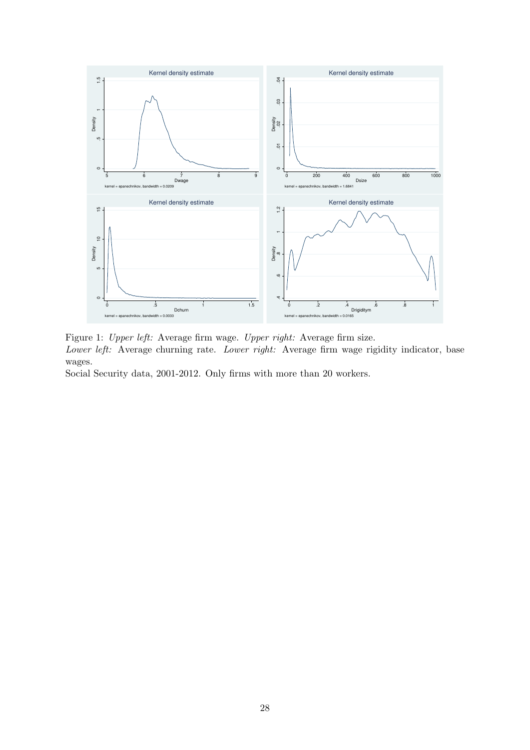<span id="page-27-0"></span>

Figure 1: Upper left: Average firm wage. Upper right: Average firm size. Lower left: Average churning rate. Lower right: Average firm wage rigidity indicator, base wages.

Social Security data, 2001-2012. Only firms with more than 20 workers.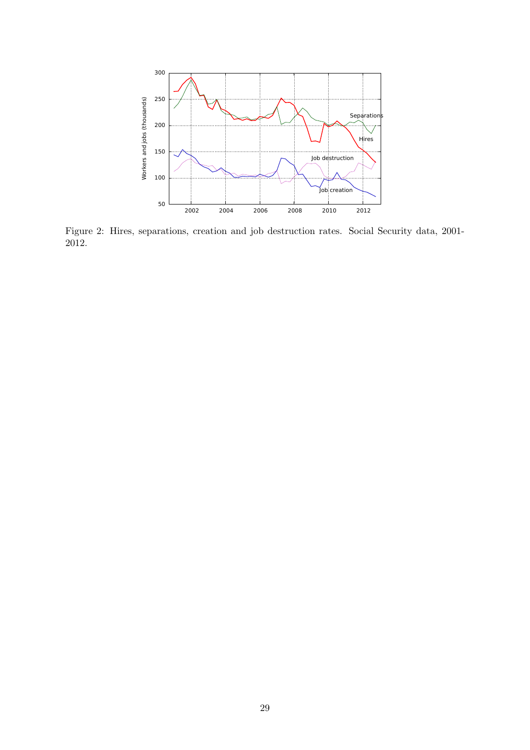<span id="page-28-0"></span>

Figure 2: Hires, separations, creation and job destruction rates. Social Security data, 2001- 2012.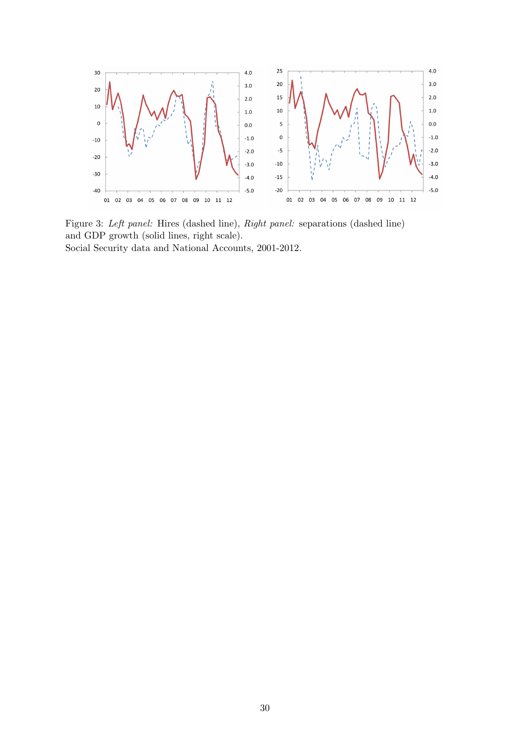<span id="page-29-0"></span>

Figure 3: Left panel: Hires (dashed line), Right panel: separations (dashed line) and GDP growth (solid lines, right scale). Social Security data and National Accounts, 2001-2012.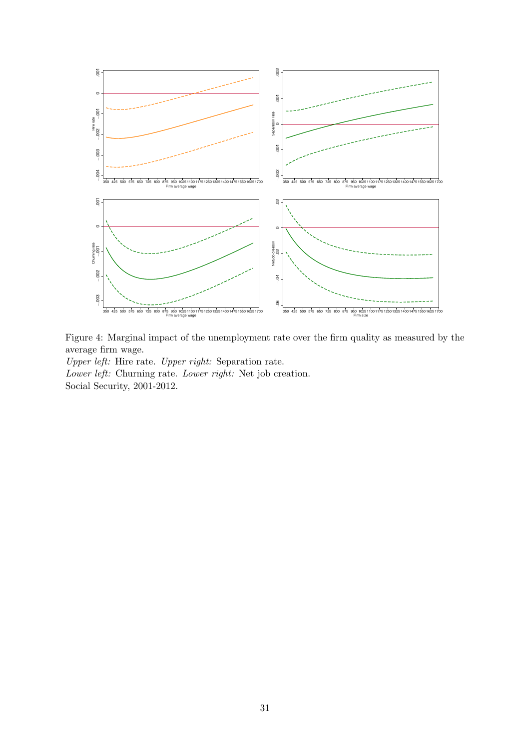<span id="page-30-0"></span>

Figure 4: Marginal impact of the unemployment rate over the firm quality as measured by the average firm wage.

Upper left: Hire rate. Upper right: Separation rate. Lower left: Churning rate. Lower right: Net job creation. Social Security, 2001-2012.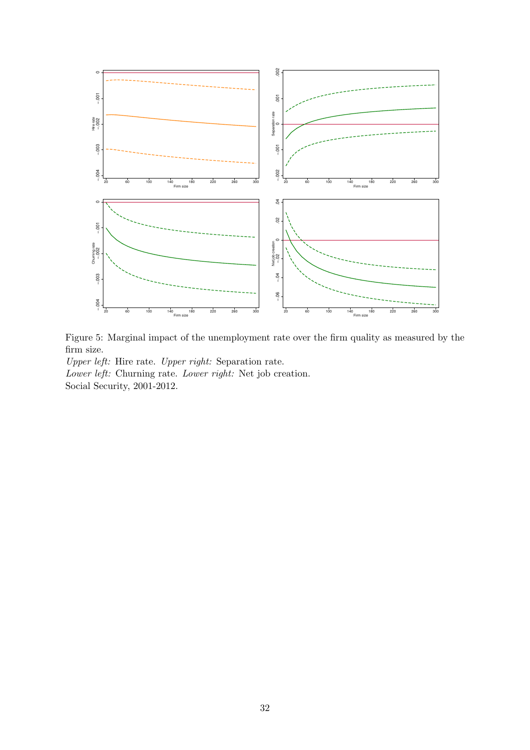<span id="page-31-0"></span>

Figure 5: Marginal impact of the unemployment rate over the firm quality as measured by the firm size.

Upper left: Hire rate. Upper right: Separation rate. Lower left: Churning rate. Lower right: Net job creation. Social Security, 2001-2012.